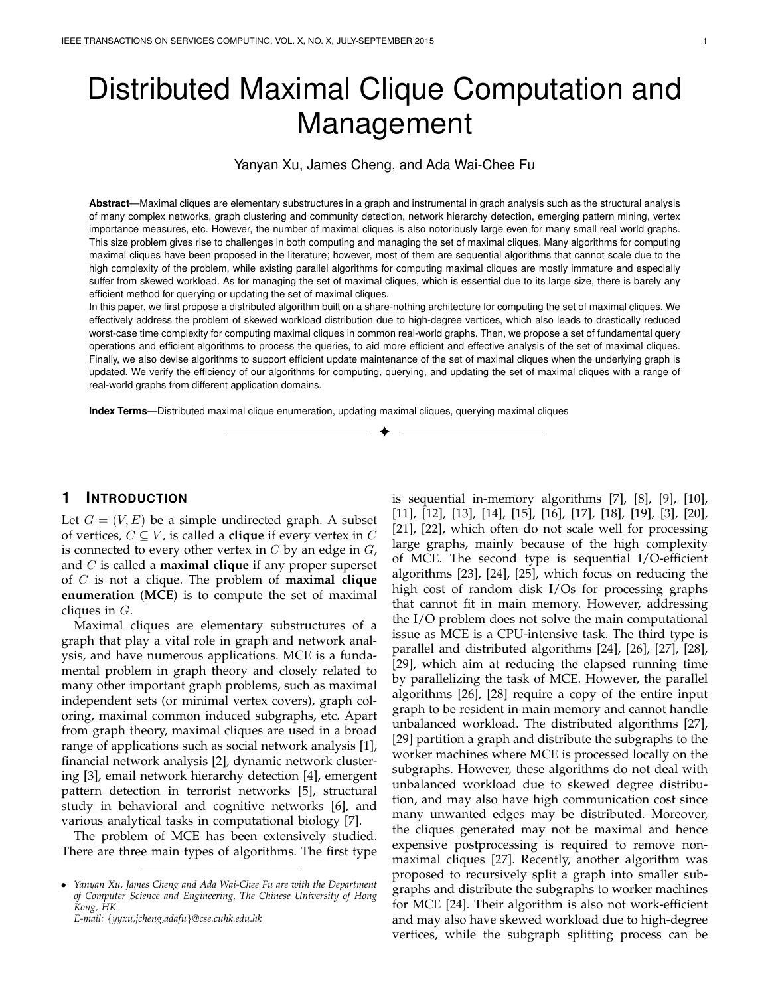# Distributed Maximal Clique Computation and Management

Yanyan Xu, James Cheng, and Ada Wai-Chee Fu

**Abstract**—Maximal cliques are elementary substructures in a graph and instrumental in graph analysis such as the structural analysis of many complex networks, graph clustering and community detection, network hierarchy detection, emerging pattern mining, vertex importance measures, etc. However, the number of maximal cliques is also notoriously large even for many small real world graphs. This size problem gives rise to challenges in both computing and managing the set of maximal cliques. Many algorithms for computing maximal cliques have been proposed in the literature; however, most of them are sequential algorithms that cannot scale due to the high complexity of the problem, while existing parallel algorithms for computing maximal cliques are mostly immature and especially suffer from skewed workload. As for managing the set of maximal cliques, which is essential due to its large size, there is barely any efficient method for querying or updating the set of maximal cliques.

In this paper, we first propose a distributed algorithm built on a share-nothing architecture for computing the set of maximal cliques. We effectively address the problem of skewed workload distribution due to high-degree vertices, which also leads to drastically reduced worst-case time complexity for computing maximal cliques in common real-world graphs. Then, we propose a set of fundamental query operations and efficient algorithms to process the queries, to aid more efficient and effective analysis of the set of maximal cliques. Finally, we also devise algorithms to support efficient update maintenance of the set of maximal cliques when the underlying graph is updated. We verify the efficiency of our algorithms for computing, querying, and updating the set of maximal cliques with a range of real-world graphs from different application domains.

✦

**Index Terms**—Distributed maximal clique enumeration, updating maximal cliques, querying maximal cliques

## **1 INTRODUCTION**

Let  $G = (V, E)$  be a simple undirected graph. A subset of vertices,  $C \subseteq V$ , is called a **clique** if every vertex in  $C$ is connected to every other vertex in *C* by an edge in *G*, and *C* is called a **maximal clique** if any proper superset of *C* is not a clique. The problem of **maximal clique enumeration** (**MCE**) is to compute the set of maximal cliques in *G*.

Maximal cliques are elementary substructures of a graph that play a vital role in graph and network analysis, and have numerous applications. MCE is a fundamental problem in graph theory and closely related to many other important graph problems, such as maximal independent sets (or minimal vertex covers), graph coloring, maximal common induced subgraphs, etc. Apart from graph theory, maximal cliques are used in a broad range of applications such as social network analysis [1], financial network analysis [2], dynamic network clustering [3], email network hierarchy detection [4], emergent pattern detection in terrorist networks [5], structural study in behavioral and cognitive networks [6], and various analytical tasks in computational biology [7].

The problem of MCE has been extensively studied. There are three main types of algorithms. The first type

high cost of random disk I/Os for processing graphs that cannot fit in main memory. However, addressing the I/O problem does not solve the main computational issue as MCE is a CPU-intensive task. The third type is parallel and distributed algorithms [24], [26], [27], [28], [29], which aim at reducing the elapsed running time by parallelizing the task of MCE. However, the parallel algorithms [26], [28] require a copy of the entire input graph to be resident in main memory and cannot handle unbalanced workload. The distributed algorithms [27], [29] partition a graph and distribute the subgraphs to the worker machines where MCE is processed locally on the subgraphs. However, these algorithms do not deal with unbalanced workload due to skewed degree distribution, and may also have high communication cost since many unwanted edges may be distributed. Moreover, the cliques generated may not be maximal and hence expensive postprocessing is required to remove nonmaximal cliques [27]. Recently, another algorithm was proposed to recursively split a graph into smaller subgraphs and distribute the subgraphs to worker machines for MCE [24]. Their algorithm is also not work-efficient and may also have skewed workload due to high-degree vertices, while the subgraph splitting process can be

is sequential in-memory algorithms [7], [8], [9], [10], [11], [12], [13], [14], [15], [16], [17], [18], [19], [3], [20], [21], [22], which often do not scale well for processing large graphs, mainly because of the high complexity of MCE. The second type is sequential I/O-efficient algorithms [23], [24], [25], which focus on reducing the

*<sup>•</sup> Yanyan Xu, James Cheng and Ada Wai-Chee Fu are with the Department of Computer Science and Engineering, The Chinese University of Hong Kong, HK. E-mail: {yyxu,jcheng,adafu}@cse.cuhk.edu.hk*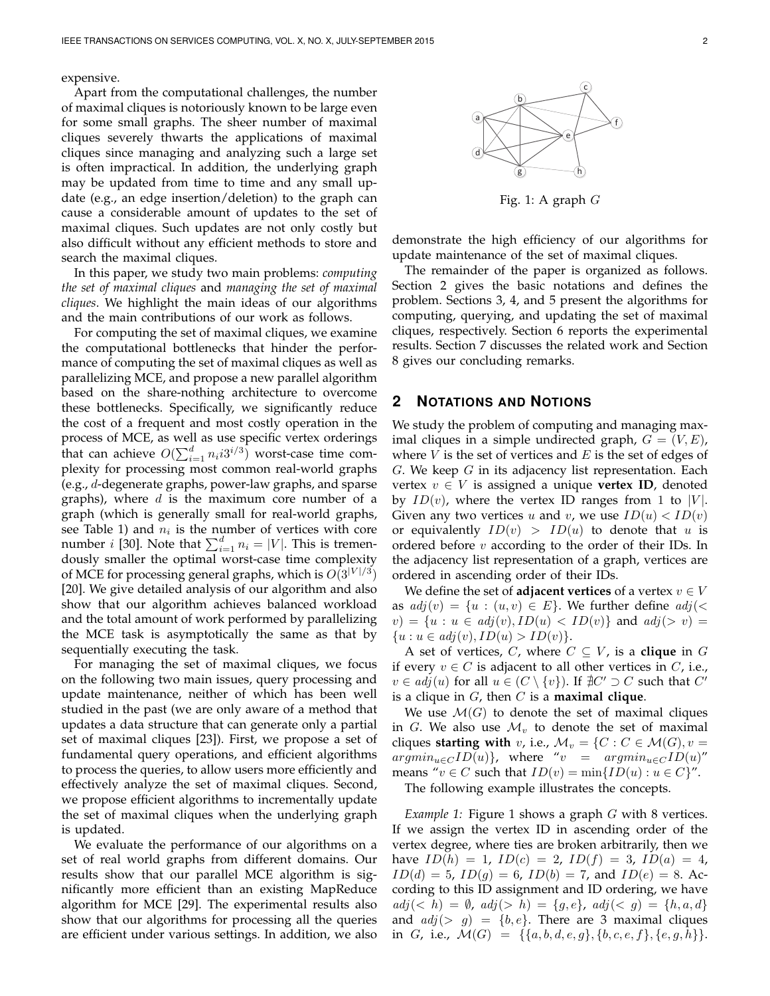expensive.

Apart from the computational challenges, the number of maximal cliques is notoriously known to be large even for some small graphs. The sheer number of maximal cliques severely thwarts the applications of maximal cliques since managing and analyzing such a large set is often impractical. In addition, the underlying graph may be updated from time to time and any small update (e.g., an edge insertion/deletion) to the graph can cause a considerable amount of updates to the set of maximal cliques. Such updates are not only costly but also difficult without any efficient methods to store and search the maximal cliques.

In this paper, we study two main problems: *computing the set of maximal cliques* and *managing the set of maximal cliques*. We highlight the main ideas of our algorithms and the main contributions of our work as follows.

For computing the set of maximal cliques, we examine the computational bottlenecks that hinder the performance of computing the set of maximal cliques as well as parallelizing MCE, and propose a new parallel algorithm based on the share-nothing architecture to overcome these bottlenecks. Specifically, we significantly reduce the cost of a frequent and most costly operation in the process of MCE, as well as use specific vertex orderings that can achieve  $O(\sum_{i=1}^d n_i i 3^{i/3})$  worst-case time complexity for processing most common real-world graphs (e.g., *d*-degenerate graphs, power-law graphs, and sparse graphs), where *d* is the maximum core number of a graph (which is generally small for real-world graphs, see Table 1) and  $n_i$  is the number of vertices with core number *i* [30]. Note that  $\sum_{i=1}^{d} n_i = |V|$ . This is tremendously smaller the optimal worst-case time complexity of MCE for processing general graphs, which is  $O(3^{|V|/3})$ [20]. We give detailed analysis of our algorithm and also show that our algorithm achieves balanced workload and the total amount of work performed by parallelizing the MCE task is asymptotically the same as that by sequentially executing the task.

For managing the set of maximal cliques, we focus on the following two main issues, query processing and update maintenance, neither of which has been well studied in the past (we are only aware of a method that updates a data structure that can generate only a partial set of maximal cliques [23]). First, we propose a set of fundamental query operations, and efficient algorithms to process the queries, to allow users more efficiently and effectively analyze the set of maximal cliques. Second, we propose efficient algorithms to incrementally update the set of maximal cliques when the underlying graph is updated.

We evaluate the performance of our algorithms on a set of real world graphs from different domains. Our results show that our parallel MCE algorithm is significantly more efficient than an existing MapReduce algorithm for MCE [29]. The experimental results also show that our algorithms for processing all the queries are efficient under various settings. In addition, we also



Fig. 1: A graph *G*

demonstrate the high efficiency of our algorithms for update maintenance of the set of maximal cliques.

The remainder of the paper is organized as follows. Section 2 gives the basic notations and defines the problem. Sections 3, 4, and 5 present the algorithms for computing, querying, and updating the set of maximal cliques, respectively. Section 6 reports the experimental results. Section 7 discusses the related work and Section 8 gives our concluding remarks.

## **2 NOTATIONS AND NOTIONS**

We study the problem of computing and managing maximal cliques in a simple undirected graph,  $G = (V, E)$ , where *V* is the set of vertices and *E* is the set of edges of *G*. We keep *G* in its adjacency list representation. Each vertex *v ∈ V* is assigned a unique **vertex ID**, denoted by  $ID(v)$ , where the vertex ID ranges from 1 to  $|V|$ . Given any two vertices *u* and *v*, we use  $ID(u) < ID(v)$ or equivalently  $ID(v) > ID(u)$  to denote that *u* is ordered before *v* according to the order of their IDs. In the adjacency list representation of a graph, vertices are ordered in ascending order of their IDs.

We define the set of **adjacent vertices** of a vertex  $v \in V$ as  $adj(v) = \{u : (u, v) \in E\}$ . We further define  $adj(\lt)$  $v) = \{u : u \in adj(v), ID(u) < ID(v)\}\$ and  $adj(> v) =$  $\{u : u \in adj(v), ID(u) > ID(v)\}.$ 

A set of vertices, *C*, where  $C \subseteq V$ , is a **clique** in *G* if every  $v \in C$  is adjacent to all other vertices in  $C$ , i.e., *v* ∈ *adj*(*u*) for all  $u \in (C \setminus \{v\})$ . If  $\nexists C' \supset C$  such that  $C'$ is a clique in *G*, then *C* is a **maximal clique**.

We use  $\mathcal{M}(G)$  to denote the set of maximal cliques in *G*. We also use  $\mathcal{M}_v$  to denote the set of maximal cliques **starting with** *v*, i.e.,  $\mathcal{M}_v = \{C : C \in \mathcal{M}(G), v =$  $argmin_{u \in C} ID(u)$ , where " $v = argmin_{u \in C} ID(u)$ " means " $v \in C$  such that  $ID(v) = \min\{ID(u) : u \in C\}$ ".

The following example illustrates the concepts.

*Example 1:* Figure 1 shows a graph *G* with 8 vertices. If we assign the vertex ID in ascending order of the vertex degree, where ties are broken arbitrarily, then we have  $ID(h) = 1$ ,  $ID(c) = 2$ ,  $ID(f) = 3$ ,  $ID(a) = 4$ ,  $ID(d) = 5$ ,  $ID(g) = 6$ ,  $ID(b) = 7$ , and  $ID(e) = 8$ . According to this ID assignment and ID ordering, we have  $adj(< h) = \emptyset$ ,  $adj(> h) = \{g, e\}$ ,  $adj(< g) = \{h, a, d\}$ and  $adj(> g) = \{b, e\}$ . There are 3 maximal cliques in *G*, i.e.,  $\mathcal{M}(G) = \{ \{a, b, d, e, g\}, \{b, c, e, f\}, \{e, g, h\} \}.$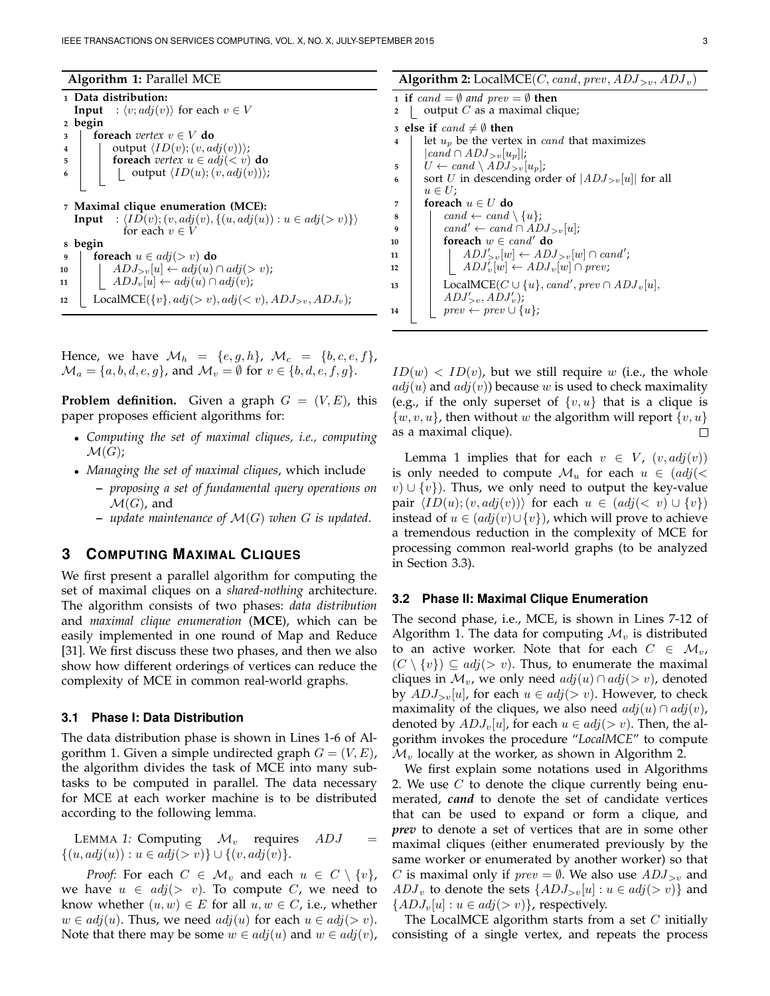IEEE TRANSACTIONS ON SERVICES COMPUTING, VOL. X, NO. X, JULY-SEPTEMBER 2015 3

Hence, we have  $M_h = \{e, g, h\}$ ,  $M_c = \{b, c, e, f\}$ ,  $M_a = \{a, b, d, e, g\}$ , and  $M_v = \emptyset$  for  $v \in \{b, d, e, f, g\}$ .

**Problem definition.** Given a graph  $G = (V, E)$ , this paper proposes efficient algorithms for:

- *• Computing the set of maximal cliques, i.e., computing M*(*G*);
- *• Managing the set of maximal cliques*, which include
	- **–** *proposing a set of fundamental query operations on*  $\mathcal{M}(G)$ , and
	- **–** *update maintenance of M*(*G*) *when G is updated*.

## **3 COMPUTING MAXIMAL CLIQUES**

We first present a parallel algorithm for computing the set of maximal cliques on a *shared-nothing* architecture. The algorithm consists of two phases: *data distribution* and *maximal clique enumeration* (**MCE**), which can be easily implemented in one round of Map and Reduce [31]. We first discuss these two phases, and then we also show how different orderings of vertices can reduce the complexity of MCE in common real-world graphs.

#### **3.1 Phase I: Data Distribution**

The data distribution phase is shown in Lines 1-6 of Algorithm 1. Given a simple undirected graph  $G = (V, E)$ , the algorithm divides the task of MCE into many subtasks to be computed in parallel. The data necessary for MCE at each worker machine is to be distributed according to the following lemma.

LEMMA 1: Computing  $\mathcal{M}_v$  requires *ADJ {*(*u, adj*(*u*)) : *u ∈ adj*(*> v*)*} ∪ {*(*v, adj*(*v*)*}*.

*Proof:* For each  $C \in \mathcal{M}_v$  and each  $u \in C \setminus \{v\}$ , we have  $u \in adj(> v)$ . To compute *C*, we need to know whether  $(u, w) \in E$  for all  $u, w \in C$ , i.e., whether *w* ∈ *adj*(*u*). Thus, we need *adj*(*u*) for each *u* ∈ *adj*( $>$ *v*). Note that there may be some  $w \in adj(u)$  and  $w \in adj(v)$ ,

**Algorithm 2:** LocalMCE(*C*, *cand*, *prev*,  $ADJ_{>v}$ ,  $ADJ_{v}$ ) **1 if**  $cand = \emptyset$  *and*  $prev = \emptyset$  **then 2**  $\vert$  output *C* as a maximal clique; **3 else** if  $cand \neq \emptyset$  **then 4** let  $u_p$  be the vertex in *cand* that maximizes *|cand ∩ ADJ >v*[*up*]*|*;  $U \leftarrow cand \setminus ADJ_{>v}[u_p];$ 6 | sort *U* in descending order of  $|ADJ_{>v}[u]|$  for all  $u \in U$ ; **<sup>7</sup> foreach** *u ∈ U* **do 8**  $\vert$  *cand*  $\leftarrow$  *cand*  $\setminus$  {*u*};  $\text{cand'} \leftarrow \text{cand} \cap \text{ADJ}_{\geq v}[u];$ **10 foreach**  $w \in cand'$  **do**  $11$  **|**  $ADJ'_{>v}[w] \leftarrow ADJ_{>v}[w] \cap cand'$ ;  $12$  *ADJ'***<sub>v</sub>[***w***]**  $\leftarrow ADJ_v[w]$  $\cap$ *prev***;**  $\blacksquare$  LocalMCE( $C \cup \{u\}$ *, cand', prev*  $\cap$   $ADJ_v[u]$ *,*  $ADJ'_{>v}, ADJ'_{v}$ );

 $ID(w)$  *< ID* $(v)$ , but we still require *w* (i.e., the whole  $adj(u)$  and  $adj(v)$ ) because *w* is used to check maximality (e.g., if the only superset of  $\{v, u\}$  that is a clique is  $\{w, v, u\}$ , then without *w* the algorithm will report  $\{v, u\}$ as a maximal clique).  $\Box$ 

14  $\vert$  *prev*  $\leftarrow$  *prev*  $\cup$  {*u*};

Lemma 1 implies that for each  $v \in V$ ,  $(v, adj(v))$ is only needed to compute  $\mathcal{M}_u$  for each  $u \in (adj(*l*))$ *v*) *∪ {v}*). Thus, we only need to output the key-value pair  $\langle ID(u); (v, adj(v)) \rangle$  for each  $u \in (adj(*v*) \cup \{v\})$ instead of *u ∈* (*adj*(*v*)*∪{v}*), which will prove to achieve a tremendous reduction in the complexity of MCE for processing common real-world graphs (to be analyzed in Section 3.3).

### **3.2 Phase II: Maximal Clique Enumeration**

The second phase, i.e., MCE, is shown in Lines 7-12 of Algorithm 1. The data for computing  $\mathcal{M}_v$  is distributed to an active worker. Note that for each  $C \in \mathcal{M}_v$ ,  $(C \setminus \{v\})$  ⊆  $adj(> v)$ . Thus, to enumerate the maximal cliques in  $\mathcal{M}_v$ , we only need  $adj(u) \cap adj(v)$ , denoted by  $ADJ_{>v}[u]$ , for each  $u \in adj(>v)$ . However, to check maximality of the cliques, we also need  $adj(u) \cap adj(v)$ , denoted by  $ADJ_v[u]$ , for each  $u \in adj(\gt v)$ . Then, the algorithm invokes the procedure "*LocalMCE*" to compute  $\mathcal{M}_v$  locally at the worker, as shown in Algorithm 2.

We first explain some notations used in Algorithms 2. We use *C* to denote the clique currently being enumerated, *cand* to denote the set of candidate vertices that can be used to expand or form a clique, and *prev* to denote a set of vertices that are in some other maximal cliques (either enumerated previously by the same worker or enumerated by another worker) so that *C* is maximal only if  $prev = ∅$ . We also use  $ADJ_{\geq v}$  and *ADJ*<sup>*v*</sup> to denote the sets  $\{ADJ_{\geq v}[u] : u \in adj(\geq v)\}$  and  ${ADJ_v[u]: u \in adj(z, v)}$ , respectively.

The LocalMCE algorithm starts from a set *C* initially consisting of a single vertex, and repeats the process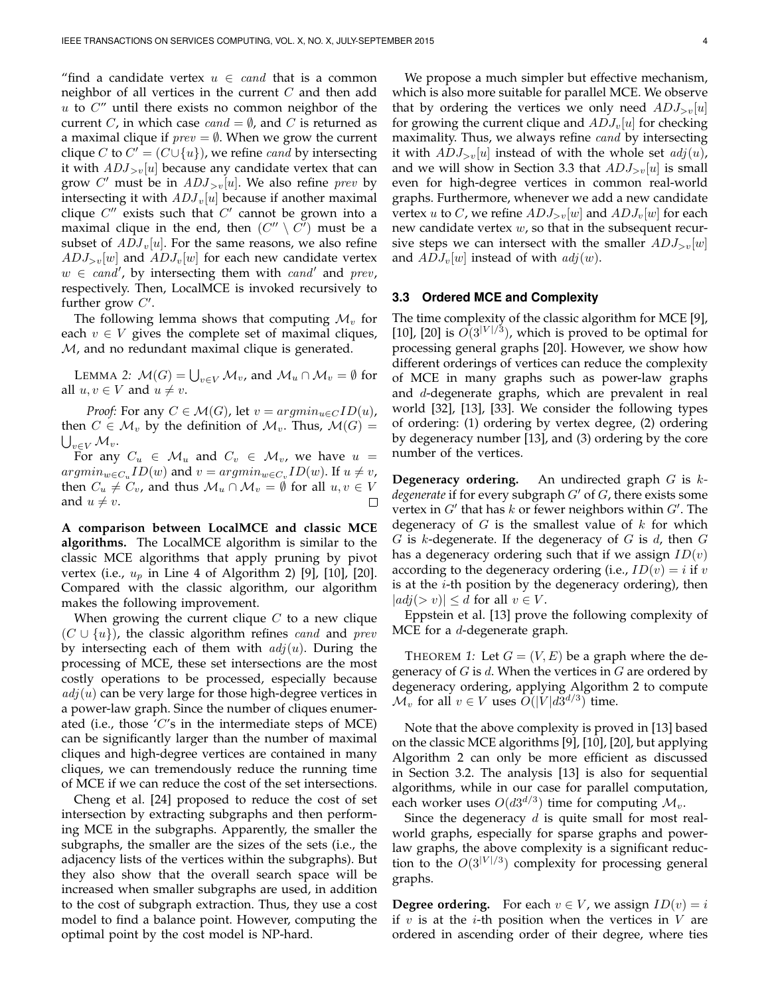"find a candidate vertex  $u \in cand$  that is a common neighbor of all vertices in the current *C* and then add *u* to *C*" until there exists no common neighbor of the current *C*, in which case  $cand = \emptyset$ , and *C* is returned as a maximal clique if *prev* = *∅*. When we grow the current clique *C* to  $C' = (C \cup \{u\})$ , we refine *cand* by intersecting it with  $ADJ_{\geq v}[u]$  because any candidate vertex that can grow *C ′* must be in *ADJ >v*[*u*]. We also refine *prev* by intersecting it with  $ADJ_v[u]$  because if another maximal clique *C ′′* exists such that *C ′* cannot be grown into a maximal clique in the end, then  $(C'' \setminus C')$  must be a subset of  $ADJ<sub>v</sub>[u]$ . For the same reasons, we also refine  $ADJ_{\geq v}[w]$  and  $ADJ_v[w]$  for each new candidate vertex *w ∈ cand′* , by intersecting them with *cand′* and *prev*, respectively. Then, LocalMCE is invoked recursively to further grow *C ′* .

The following lemma shows that computing  $\mathcal{M}_v$  for each  $v \in V$  gives the complete set of maximal cliques, *M*, and no redundant maximal clique is generated.

LEMMA 2:  $\mathcal{M}(G) = \bigcup_{v \in V} \mathcal{M}_v$ , and  $\mathcal{M}_u \cap \mathcal{M}_v = \emptyset$  for all  $u, v \in V$  and  $u \neq v$ .

*Proof:* For any  $C \in \mathcal{M}(G)$ , let  $v = argmin_{u \in C} ID(u)$ , then  $C \in \mathcal{M}_v$  by the definition of  $\mathcal{M}_v$ . Thus,  $\mathcal{M}(G) =$  $\bigcup_{v \in V} M_v$ .

For any  $C_u \in \mathcal{M}_u$  and  $C_v \in \mathcal{M}_v$ , we have  $u =$  $argmin_{w \in C_u} ID(w)$  and  $v = argmin_{w \in C_v} ID(w)$ . If  $u \neq v$ , then  $C_u \neq C_v$ , and thus  $\mathcal{M}_u \cap \mathcal{M}_v = \emptyset$  for all  $u, v \in V$ and  $u \neq v$ .  $\Box$ 

**A comparison between LocalMCE and classic MCE algorithms.** The LocalMCE algorithm is similar to the classic MCE algorithms that apply pruning by pivot vertex (i.e., *u<sup>p</sup>* in Line 4 of Algorithm 2) [9], [10], [20]. Compared with the classic algorithm, our algorithm makes the following improvement.

When growing the current clique *C* to a new clique (*C ∪ {u}*), the classic algorithm refines *cand* and *prev* by intersecting each of them with *adj*(*u*). During the processing of MCE, these set intersections are the most costly operations to be processed, especially because *adj*(*u*) can be very large for those high-degree vertices in a power-law graph. Since the number of cliques enumerated (i.e., those '*C*'s in the intermediate steps of MCE) can be significantly larger than the number of maximal cliques and high-degree vertices are contained in many cliques, we can tremendously reduce the running time of MCE if we can reduce the cost of the set intersections.

Cheng et al. [24] proposed to reduce the cost of set intersection by extracting subgraphs and then performing MCE in the subgraphs. Apparently, the smaller the subgraphs, the smaller are the sizes of the sets (i.e., the adjacency lists of the vertices within the subgraphs). But they also show that the overall search space will be increased when smaller subgraphs are used, in addition to the cost of subgraph extraction. Thus, they use a cost model to find a balance point. However, computing the optimal point by the cost model is NP-hard.

We propose a much simpler but effective mechanism, which is also more suitable for parallel MCE. We observe that by ordering the vertices we only need  $ADJ_{\geq v}[u]$ for growing the current clique and *ADJv*[*u*] for checking maximality. Thus, we always refine *cand* by intersecting it with  $ADJ_{>}v[u]$  instead of with the whole set  $adj(u)$ , and we will show in Section 3.3 that  $ADJ_{\geq v}[u]$  is small even for high-degree vertices in common real-world graphs. Furthermore, whenever we add a new candidate vertex *u* to *C*, we refine  $ADJ_{\geq v}[w]$  and  $ADJ_v[w]$  for each new candidate vertex *w*, so that in the subsequent recursive steps we can intersect with the smaller  $ADJ_{\geq v}[w]$ and  $ADJ_v[w]$  instead of with  $adj(w)$ .

#### **3.3 Ordered MCE and Complexity**

The time complexity of the classic algorithm for MCE [9], [10], [20] is  $O(3^{|V|/3})$ , which is proved to be optimal for processing general graphs [20]. However, we show how different orderings of vertices can reduce the complexity of MCE in many graphs such as power-law graphs and *d*-degenerate graphs, which are prevalent in real world [32], [13], [33]. We consider the following types of ordering: (1) ordering by vertex degree, (2) ordering by degeneracy number [13], and (3) ordering by the core number of the vertices.

**Degeneracy ordering.** An undirected graph *G* is *kdegenerate* if for every subgraph *G′* of *G*, there exists some vertex in *G′* that has *k* or fewer neighbors within *G′* . The degeneracy of *G* is the smallest value of *k* for which *G* is *k*-degenerate. If the degeneracy of *G* is *d*, then *G* has a degeneracy ordering such that if we assign *ID*(*v*) according to the degeneracy ordering (i.e.,  $ID(v) = i$  if *v* is at the *i*-th position by the degeneracy ordering), then  $|adj(> v)| ≤ d$  for all  $v ∈ V$ .

Eppstein et al. [13] prove the following complexity of MCE for a *d*-degenerate graph.

THEOREM 1: Let  $G = (V, E)$  be a graph where the degeneracy of *G* is *d*. When the vertices in *G* are ordered by degeneracy ordering, applying Algorithm 2 to compute  $\mathcal{M}_v$  for all  $v \in V$  uses  $O(|V|d3^{d/3})$  time.

Note that the above complexity is proved in [13] based on the classic MCE algorithms [9], [10], [20], but applying Algorithm 2 can only be more efficient as discussed in Section 3.2. The analysis [13] is also for sequential algorithms, while in our case for parallel computation, each worker uses  $O(d3^{d/3})$  time for computing  $\mathcal{M}_v$ .

Since the degeneracy *d* is quite small for most realworld graphs, especially for sparse graphs and powerlaw graphs, the above complexity is a significant reduction to the  $O(3^{|V|/3})$  complexity for processing general graphs.

**Degree ordering.** For each  $v \in V$ , we assign  $ID(v) = i$ if *v* is at the *i*-th position when the vertices in *V* are ordered in ascending order of their degree, where ties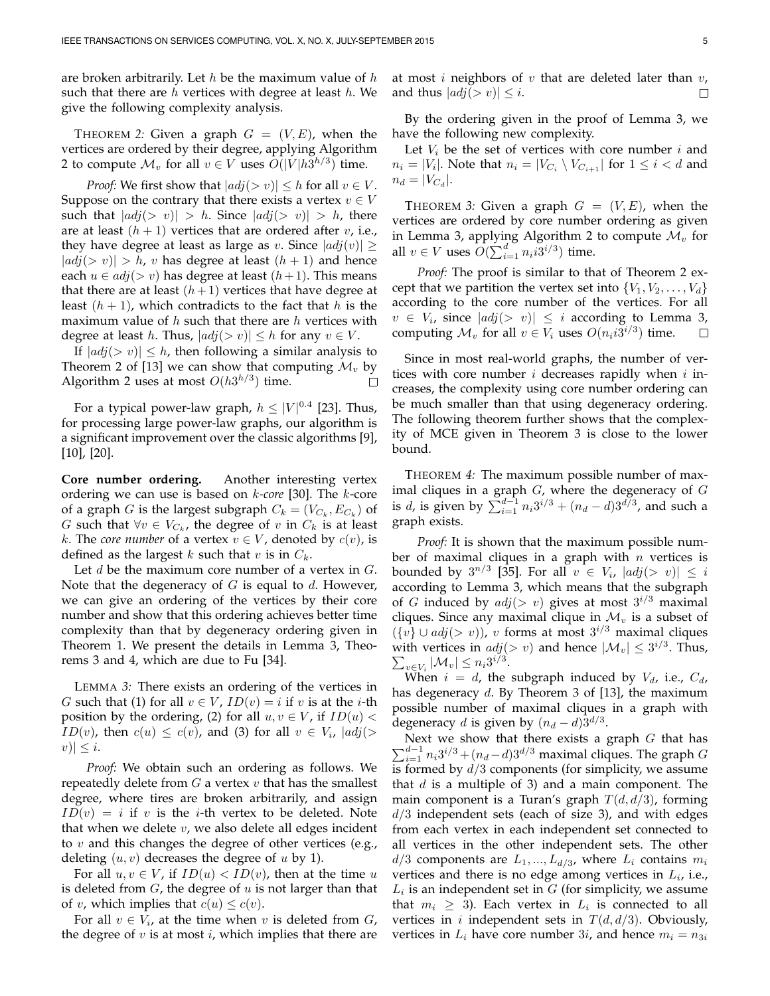are broken arbitrarily. Let *h* be the maximum value of *h* such that there are *h* vertices with degree at least *h*. We give the following complexity analysis.

THEOREM 2: Given a graph  $G = (V, E)$ , when the vertices are ordered by their degree, applying Algorithm 2 to compute  $\mathcal{M}_v$  for all  $v \in V$  uses  $\widetilde{O}(|V| h 3^{h/3})$  time.

*Proof:* We first show that  $|adj(> v)| \leq h$  for all  $v \in V$ . Suppose on the contrary that there exists a vertex  $v \in V$ such that  $|adj(> v)| > h$ . Since  $|adj(> v)| > h$ , there are at least  $(h + 1)$  vertices that are ordered after *v*, i.e., they have degree at least as large as *v*. Since  $|adj(v)| \ge$  $|adj(> v)| > h$ , *v* has degree at least  $(h + 1)$  and hence each  $u \in adj(> v)$  has degree at least  $(h+1)$ . This means that there are at least  $(h+1)$  vertices that have degree at least  $(h + 1)$ , which contradicts to the fact that *h* is the maximum value of *h* such that there are *h* vertices with degree at least *h*. Thus,  $|adj(> v)| \leq h$  for any  $v \in V$ .

If  $|adj(> v)| \leq h$ , then following a similar analysis to Theorem 2 of [13] we can show that computing  $\mathcal{M}_v$  by Algorithm 2 uses at most  $O(h3^{h/3})$  time.  $\Box$ 

For a typical power-law graph,  $h \leq |V|^{0.4}$  [23]. Thus, for processing large power-law graphs, our algorithm is a significant improvement over the classic algorithms [9], [10], [20].

**Core number ordering.** Another interesting vertex ordering we can use is based on *k-core* [30]. The *k*-core of a graph *G* is the largest subgraph  $C_k = (V_{C_k}, E_{C_k})$  of *G* such that  $∀v ∈ V_{C_k}$ , the degree of *v* in  $C_k$  is at least *k*. The *core number* of a vertex *v* ∈ *V*, denoted by *c*(*v*), is defined as the largest *k* such that *v* is in *Ck*.

Let *d* be the maximum core number of a vertex in *G*. Note that the degeneracy of *G* is equal to *d*. However, we can give an ordering of the vertices by their core number and show that this ordering achieves better time complexity than that by degeneracy ordering given in Theorem 1. We present the details in Lemma 3, Theorems 3 and 4, which are due to Fu [34].

LEMMA *3:* There exists an ordering of the vertices in *G* such that (1) for all  $v \in V$ ,  $ID(v) = i$  if *v* is at the *i*-th position by the ordering, (2) for all  $u, v \in V$ , if  $ID(u)$  < *ID*(*v*), then  $c(u) \leq c(v)$ , and (3) for all  $v \in V_i$ ,  $|adj(>$  $|v| \leq i$ .

*Proof:* We obtain such an ordering as follows. We repeatedly delete from *G* a vertex *v* that has the smallest degree, where tires are broken arbitrarily, and assign  $ID(v) = i$  if *v* is the *i*-th vertex to be deleted. Note that when we delete *v*, we also delete all edges incident to *v* and this changes the degree of other vertices (e.g., deleting (*u, v*) decreases the degree of *u* by 1).

For all  $u, v \in V$ , if  $ID(u) < ID(v)$ , then at the time *u* is deleted from *G*, the degree of *u* is not larger than that of *v*, which implies that  $c(u) \leq c(v)$ .

For all  $v \in V_i$ , at the time when  $v$  is deleted from  $G$ , the degree of *v* is at most *i*, which implies that there are at most *i* neighbors of *v* that are deleted later than *v*, and thus  $|adj(> v)| \leq i$ .  $\Box$ 

By the ordering given in the proof of Lemma 3, we have the following new complexity.

Let  $V_i$  be the set of vertices with core number  $i$  and  $n_i = |V_i|$ . Note that  $n_i = |V_{C_i} \setminus V_{C_{i+1}}|$  for  $1 \leq i < d$  and  $n_d = |V_{C_d}|.$ 

THEOREM 3: Given a graph  $G = (V, E)$ , when the vertices are ordered by core number ordering as given in Lemma 3, applying Algorithm 2 to compute  $\mathcal{M}_v$  for all  $v \in V$  uses  $O(\sum_{i=1}^d n_i i 3^{i/3})$  time.

*Proof:* The proof is similar to that of Theorem 2 except that we partition the vertex set into  $\{V_1, V_2, \ldots, V_d\}$ according to the core number of the vertices. For all  $v \in V_i$ , since  $|adj(> v)| \leq i$  according to Lemma 3, computing  $\mathcal{M}_v$  for all  $v \in V_i$  uses  $O(n_i i \overline{3}^{i/3})$  time.  $\Box$ 

Since in most real-world graphs, the number of vertices with core number *i* decreases rapidly when *i* increases, the complexity using core number ordering can be much smaller than that using degeneracy ordering. The following theorem further shows that the complexity of MCE given in Theorem 3 is close to the lower bound.

THEOREM *4:* The maximum possible number of maximal cliques in a graph *G*, where the degeneracy of *G* is *d*, is given by  $\sum_{i=1}^{d-1} n_i 3^{i/3} + (n_d - d) 3^{d/3}$ , and such a graph exists.

*Proof:* It is shown that the maximum possible number of maximal cliques in a graph with *n* vertices is  $\mathbf{b}$  bounded by  $3^{n/3}$  [35]. For all  $v \in V_i$ ,  $|adj(> v)| \leq i$ according to Lemma 3, which means that the subgraph of *G* induced by *adj*(*> v*) gives at most 3 *i/*<sup>3</sup> maximal cliques. Since any maximal clique in  $\mathcal{M}_v$  is a subset of (*{v} ∪ adj*(*> v*)), *v* forms at most 3 *i/*<sup>3</sup> maximal cliques with vertices in  $adj(>v)$  and hence  $|\mathcal{M}_v| \leq 3^{i/3}$ . Thus,  $\sum_{v \in V_i} |\mathcal{M}_v| \leq n_i 3^{i/3}.$ 

When  $i = d$ , the subgraph induced by  $V_d$ , i.e.,  $C_d$ , has degeneracy *d*. By Theorem 3 of [13], the maximum possible number of maximal cliques in a graph with degeneracy *d* is given by  $(n_d - d)3^{d/3}$ .

 $\sum_{i=1}^{d-1} n_i 3^{i/3} + (n_d - d) 3^{d/3}$  maximal cliques. The graph *G* Next we show that there exists a graph *G* that has is formed by *d/*3 components (for simplicity, we assume that *d* is a multiple of 3) and a main component. The main component is a Turan's graph *T*(*d, d/*3), forming *d/*3 independent sets (each of size 3), and with edges from each vertex in each independent set connected to all vertices in the other independent sets. The other  $d/3$  components are  $L_1, ..., L_{d/3}$ , where  $L_i$  contains  $m_i$ vertices and there is no edge among vertices in *L<sup>i</sup>* , i.e., *Li* is an independent set in *G* (for simplicity, we assume that  $m_i \geq 3$ ). Each vertex in  $L_i$  is connected to all vertices in *i* independent sets in  $T(d, d/3)$ . Obviously, vertices in  $L_i$  have core number  $3i$ , and hence  $m_i = n_{3i}$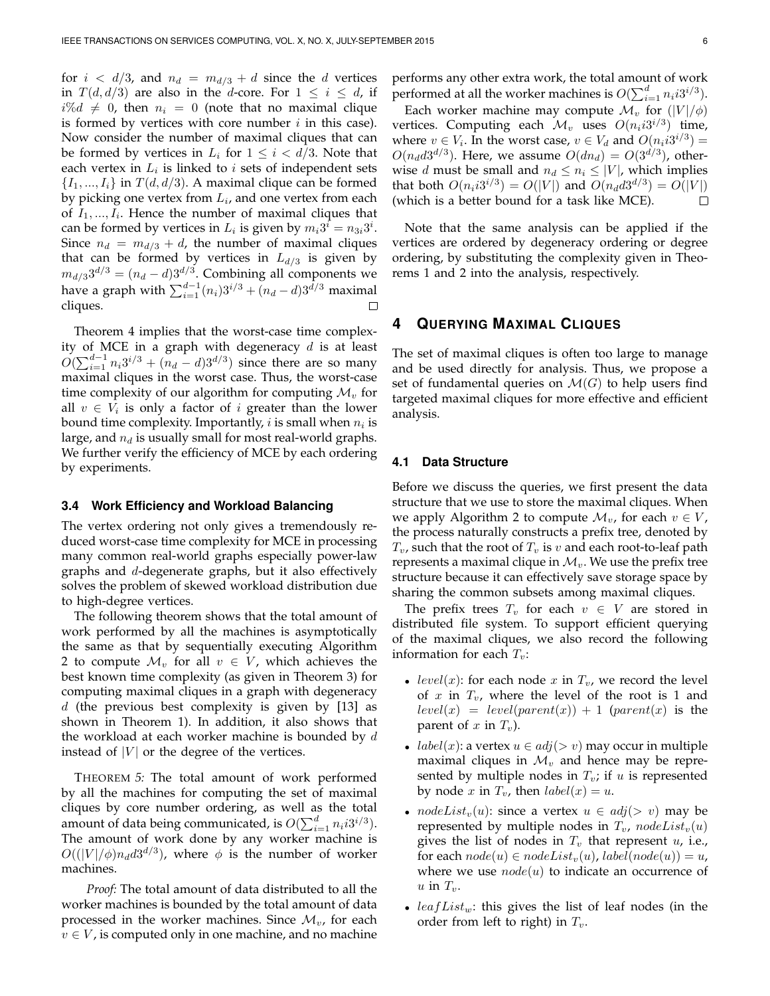for  $i < d/3$ , and  $n_d = m_{d/3} + d$  since the *d* vertices in  $T(d, d/3)$  are also in the *d*-core. For  $1 \leq i \leq d$ , if  $i\%d \neq 0$ , then  $n_i = 0$  (note that no maximal clique is formed by vertices with core number *i* in this case). Now consider the number of maximal cliques that can be formed by vertices in  $L_i$  for  $1 \leq i < d/3$ . Note that each vertex in  $L_i$  is linked to  $i$  sets of independent sets  ${I_1, ..., I_i}$  in  $T(d, d/3)$ . A maximal clique can be formed by picking one vertex from *L<sup>i</sup>* , and one vertex from each of *I*1*, ..., I<sup>i</sup>* . Hence the number of maximal cliques that can be formed by vertices in  $L_i$  is given by  $m_i 3^i = n_{3i} 3^i$ . Since  $n_d = m_{d/3} + d$ , the number of maximal cliques that can be formed by vertices in  $L_{d/3}$  is given by  $m_{d/3}3^{d/3} = (n_d - d)3^{d/3}$ . Combining all components we have a graph with  $\sum_{i=1}^{d-1} (n_i) 3^{i/3} + (n_d - d) 3^{d/3}$  maximal cliques.  $\Box$ 

Theorem 4 implies that the worst-case time complexity of MCE in a graph with degeneracy *d* is at least  $O(\sum_{i=1}^{d-1} n_i 3^{i/3} + (n_d - d)3^{d/3})$  since there are so many maximal cliques in the worst case. Thus, the worst-case time complexity of our algorithm for computing  $\mathcal{M}_v$  for all  $v \in V_i$  is only a factor of  $i$  greater than the lower bound time complexity. Importantly,  $i$  is small when  $n_i$  is large, and *n<sup>d</sup>* is usually small for most real-world graphs. We further verify the efficiency of MCE by each ordering by experiments.

#### **3.4 Work Efficiency and Workload Balancing**

The vertex ordering not only gives a tremendously reduced worst-case time complexity for MCE in processing many common real-world graphs especially power-law graphs and *d*-degenerate graphs, but it also effectively solves the problem of skewed workload distribution due to high-degree vertices.

The following theorem shows that the total amount of work performed by all the machines is asymptotically the same as that by sequentially executing Algorithm 2 to compute  $\mathcal{M}_v$  for all  $v \in V$ , which achieves the best known time complexity (as given in Theorem 3) for computing maximal cliques in a graph with degeneracy *d* (the previous best complexity is given by [13] as shown in Theorem 1). In addition, it also shows that the workload at each worker machine is bounded by *d* instead of  $|V|$  or the degree of the vertices.

THEOREM *5:* The total amount of work performed by all the machines for computing the set of maximal cliques by core number ordering, as well as the total amount of data being communicated, is  $O(\sum_{i=1}^d n_i i 3^{i/3})$ . The amount of work done by any worker machine is  $O((|V|/\phi)n_d d3^{d/3})$ , where  $\phi$  is the number of worker machines.

*Proof:* The total amount of data distributed to all the worker machines is bounded by the total amount of data processed in the worker machines. Since  $\mathcal{M}_v$ , for each *v ∈ V* , is computed only in one machine, and no machine performs any other extra work, the total amount of work performed at all the worker machines is  $O(\sum_{i=1}^d n_i i 3^{i/3})$ .

Each worker machine may compute  $\mathcal{M}_v$  for  $(|V|/\phi)$ vertices. Computing each  $\mathcal{M}_v$  uses  $O(n_i i 3^{i/3})$  time, where  $v \in V_i$ . In the worst case,  $v \in V_d$  and  $O(n_i i 3^{i/3}) =$  $O(n_d d3^{d/3})$ . Here, we assume  $O(dn_d) = O(3^{d/3})$ , otherwise *d* must be small and  $n_d \leq n_i \leq |V|$ , which implies that both  $O(n_i i 3^{i/3}) = O(|V|)$  and  $O(n_d d 3^{d/3}) = O(|V|)$ (which is a better bound for a task like MCE).  $\Box$ 

Note that the same analysis can be applied if the vertices are ordered by degeneracy ordering or degree ordering, by substituting the complexity given in Theorems 1 and 2 into the analysis, respectively.

# **4 QUERYING MAXIMAL CLIQUES**

The set of maximal cliques is often too large to manage and be used directly for analysis. Thus, we propose a set of fundamental queries on  $\mathcal{M}(G)$  to help users find targeted maximal cliques for more effective and efficient analysis.

## **4.1 Data Structure**

Before we discuss the queries, we first present the data structure that we use to store the maximal cliques. When we apply Algorithm 2 to compute  $\mathcal{M}_v$ , for each  $v \in V$ , the process naturally constructs a prefix tree, denoted by  $T_v$ , such that the root of  $T_v$  is  $v$  and each root-to-leaf path represents a maximal clique in  $\mathcal{M}_v$ . We use the prefix tree structure because it can effectively save storage space by sharing the common subsets among maximal cliques.

The prefix trees  $T_v$  for each  $v \in V$  are stored in distributed file system. To support efficient querying of the maximal cliques, we also record the following information for each *Tv*:

- *level*(*x*): for each node *x* in  $T_v$ , we record the level of  $x$  in  $T_v$ , where the level of the root is 1 and  $level(x) = level(parent(x)) + 1 (parent(x))$  is the parent of *x* in  $T_v$ ).
- *label*(*x*): a vertex  $u \in adj(>v)$  may occur in multiple maximal cliques in  $\mathcal{M}_v$  and hence may be represented by multiple nodes in *Tv*; if *u* is represented by node *x* in  $T_v$ , then  $label(x) = u$ .
- *nodeList<sub>v</sub>*(*u*): since a vertex  $u \in adj(>v)$  may be represented by multiple nodes in  $T_v$ ,  $nodeList_v(u)$ gives the list of nodes in *T<sup>v</sup>* that represent *u*, i.e., for each  $node(u) \in nodeList_v(u)$ ,  $label(node(u)) = u$ , where we use  $node(u)$  to indicate an occurrence of  $u$  in  $T_v$ .
- *• leafListw*: this gives the list of leaf nodes (in the order from left to right) in *Tv*.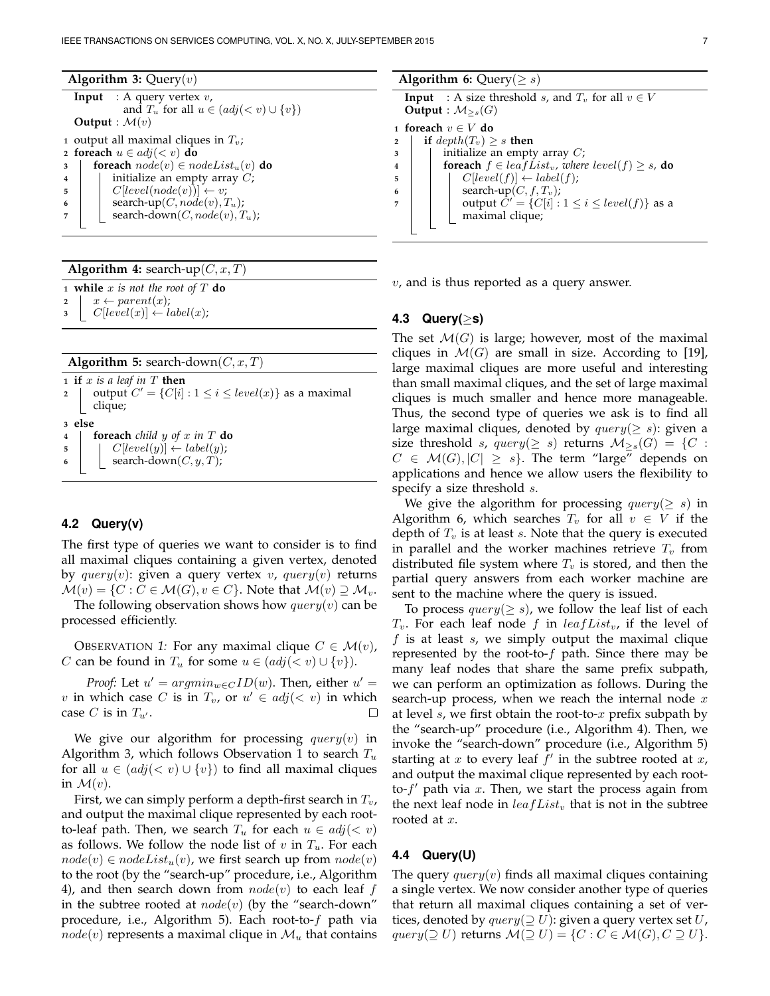|   | <b>Algorithm 3:</b> Query $(v)$             |  |  |  |  |  |  |  |
|---|---------------------------------------------|--|--|--|--|--|--|--|
|   | <b>Input</b> : A query vertex $v$ ,         |  |  |  |  |  |  |  |
|   | and $T_u$ for all $u \in (adj(v) \cup {v})$ |  |  |  |  |  |  |  |
|   | Output : $\mathcal{M}(v)$                   |  |  |  |  |  |  |  |
|   | 1 output all maximal cliques in $T_v$ ;     |  |  |  |  |  |  |  |
|   | 2 foreach $u \in adj(< v)$ do               |  |  |  |  |  |  |  |
| 3 | foreach $node(v) \in nodeList_u(v)$ do      |  |  |  |  |  |  |  |
| 4 | initialize an empty array $C$ ;             |  |  |  |  |  |  |  |
| 5 | $C[level(node(v))] \leftarrow v;$           |  |  |  |  |  |  |  |
| 6 | search-up( $C, node(v), T_u$ );             |  |  |  |  |  |  |  |
|   | search-down(C, $node(v), T_u$ );            |  |  |  |  |  |  |  |
|   |                                             |  |  |  |  |  |  |  |

| <b>Algorithm 4:</b> search-up $(C, x, T)$ |  |  |  |  |
|-------------------------------------------|--|--|--|--|
| 1 while x is not the root of $T$ do       |  |  |  |  |

2  $\vert x \leftarrow parent(x);$  $3 \mid C[level(x)] \leftarrow label(x);$ 

**Algorithm 5:** search-down(*C, x, T*)

 **if** *x is a leaf in T* **then**  $|$  output  $C' = \{C[i] : 1 \leq i \leq level(x)\}$  as a maximal clique; **<sup>3</sup> else foreach** *child y of x in T* **do**  $\vert$   $\vert$   $C[level(y)] \leftarrow label(y);$  $\blacksquare$  **search-down** $(C, y, T)$ ;

### **4.2 Query(v)**

The first type of queries we want to consider is to find all maximal cliques containing a given vertex, denoted by *query*(*v*): given a query vertex *v*, *query*(*v*) returns  $\mathcal{M}(v) = \{C : C \in \mathcal{M}(G), v \in C\}$ . Note that  $\mathcal{M}(v) \supseteq \mathcal{M}_v$ .

The following observation shows how *query*(*v*) can be processed efficiently.

OBSERVATION 1: For any maximal clique  $C \in \mathcal{M}(v)$ , *C* can be found in  $T_u$  for some  $u \in (adj(*v*) \cup \{v\})$ .

*Proof:* Let  $u' = argmin_{w \in C} ID(w)$ . Then, either  $u' =$ *v* in which case *C* is in  $T_v$ , or  $u' \in adj(< v)$  in which case *C* is in  $T_{u'}$ .

We give our algorithm for processing *query*(*v*) in Algorithm 3, which follows Observation 1 to search *T<sup>u</sup>* for all  $u \in (adj(*v*) \cup {*v*})$  to find all maximal cliques in  $\mathcal{M}(v)$ .

First, we can simply perform a depth-first search in *Tv*, and output the maximal clique represented by each rootto-leaf path. Then, we search  $T_u$  for each  $u \in adj(< v)$ as follows. We follow the node list of *v* in *Tu*. For each  $node(v)$  ∈  $nodeList_u(v)$ , we first search up from  $node(v)$ to the root (by the "search-up" procedure, i.e., Algorithm 4), and then search down from *node*(*v*) to each leaf *f* in the subtree rooted at *node*(*v*) (by the "search-down" procedure, i.e., Algorithm 5). Each root-to-*f* path via  $node(v)$  represents a maximal clique in  $\mathcal{M}_u$  that contains **Algorithm 6:** Query( $\geq$  *s*)

**Input** : A size threshold *s*, and  $T_v$  for all  $v \in V$ **Output** :  $M_{\geq s}(G)$ **<sup>1</sup> foreach** *v ∈ V* **do** 2 **if**  $depth(T_v) \geq s$  **then 3** initialize an empty array *C*; **4 foreach**  $f \in leafList_v$ *, where*  $level(f) \geq s$ *,* **do**  $\mathcal{F}$  **c**[*level*(*f*)]  $\leftarrow$  *label*(*f*); **6**  $\vert$  **b** search-up $(C, f, T_v)$ ;  $7$   $|$   $|$  output  $C' = \{C[i] : 1 \leq i \leq level(f)\}$  as a maximal clique;

*v*, and is thus reported as a query answer.

#### **4.3 Query(***≥***s)**

The set  $\mathcal{M}(G)$  is large; however, most of the maximal cliques in  $\mathcal{M}(G)$  are small in size. According to [19], large maximal cliques are more useful and interesting than small maximal cliques, and the set of large maximal cliques is much smaller and hence more manageable. Thus, the second type of queries we ask is to find all large maximal cliques, denoted by  $query(\geq s)$ : given a size threshold *s*, *query*( $\geq$  *s*) returns  $\mathcal{M}_{\geq s}(G) = \{C :$  $C \in \mathcal{M}(G), |C| \geq s$ . The term "large" depends on applications and hence we allow users the flexibility to specify a size threshold *s*.

We give the algorithm for processing  $query(\geq s)$  in Algorithm 6, which searches  $T_v$  for all  $v \in V$  if the depth of *T<sup>v</sup>* is at least *s*. Note that the query is executed in parallel and the worker machines retrieve  $T_v$  from distributed file system where  $T_v$  is stored, and then the partial query answers from each worker machine are sent to the machine where the query is issued.

To process  $query(\geq s)$ , we follow the leaf list of each *Tv*. For each leaf node *f* in *leafListv*, if the level of *f* is at least *s*, we simply output the maximal clique represented by the root-to-*f* path. Since there may be many leaf nodes that share the same prefix subpath, we can perform an optimization as follows. During the search-up process, when we reach the internal node *x* at level *s*, we first obtain the root-to-*x* prefix subpath by the "search-up" procedure (i.e., Algorithm 4). Then, we invoke the "search-down" procedure (i.e., Algorithm 5) starting at *x* to every leaf *f ′* in the subtree rooted at *x*, and output the maximal clique represented by each rootto-*f ′* path via *x*. Then, we start the process again from the next leaf node in  $leafList_v$  that is not in the subtree rooted at *x*.

#### **4.4 Query(U)**

The query *query*(*v*) finds all maximal cliques containing a single vertex. We now consider another type of queries that return all maximal cliques containing a set of vertices, denoted by *query*(*⊇ U*): given a query vertex set *U*, *guery*( $\supseteq U$ ) returns  $\mathcal{M}(\supseteq U) = \{C : C \in \mathcal{M}(G), C \supseteq U\}$ .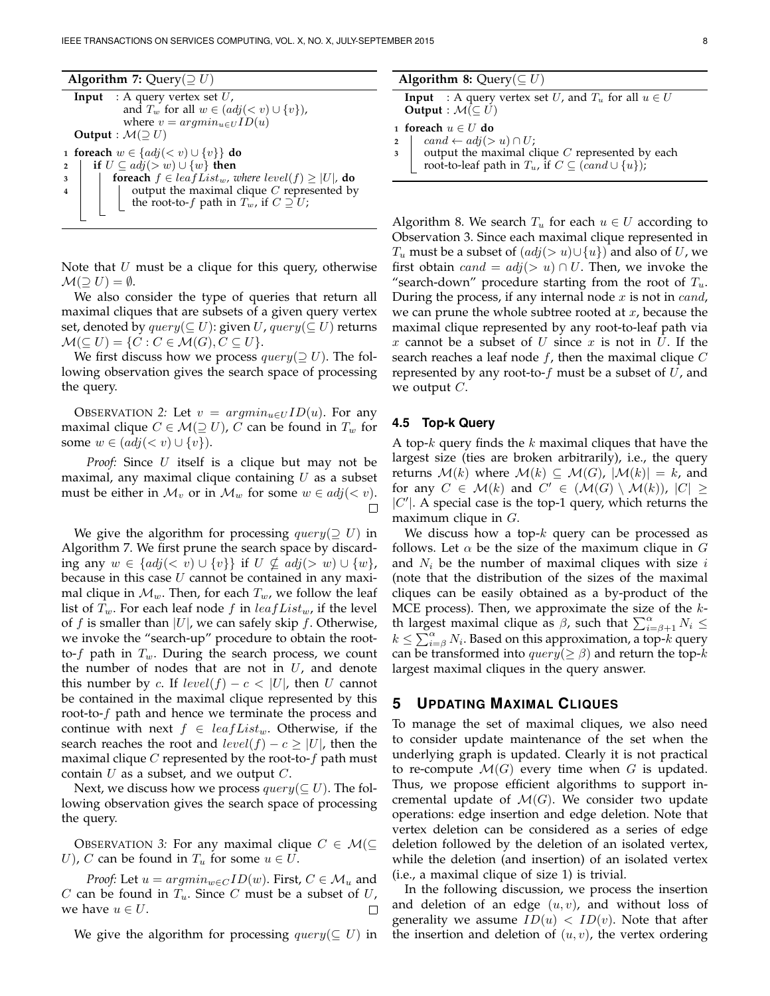| Algorithm 7: Query( $\supseteq U$ )                                                 |  |  |  |  |  |  |
|-------------------------------------------------------------------------------------|--|--|--|--|--|--|
| <b>Input</b> : A query vertex set $U$ ,                                             |  |  |  |  |  |  |
| and $T_w$ for all $w \in (adj(v) \cup {v})$ ,                                       |  |  |  |  |  |  |
| where $v = argmin_{u \in U} I D(u)$                                                 |  |  |  |  |  |  |
| Output : $M(\supset U)$                                                             |  |  |  |  |  |  |
| 1 foreach $w \in \{adj(< v) \cup \{v\}\}\$ do                                       |  |  |  |  |  |  |
| if $U \subseteq adj(\gt w) \cup \{w\}$ then<br>$\overline{2}$                       |  |  |  |  |  |  |
| <b>for<br/>each</b> $f \in leafList_w$ , where $level(f) \geq  U $ , <b>do</b><br>3 |  |  |  |  |  |  |
| output the maximal clique $C$ represented by                                        |  |  |  |  |  |  |
| the root-to-f path in $T_w$ , if $C \supseteq U$ ;                                  |  |  |  |  |  |  |
|                                                                                     |  |  |  |  |  |  |

Note that *U* must be a clique for this query, otherwise  $\mathcal{M}(\supseteq U) = \emptyset.$ 

We also consider the type of queries that return all maximal cliques that are subsets of a given query vertex set, denoted by  $query(\subseteq U)$ : given *U*,  $query(\subseteq U)$  returns  $\mathcal{M}(\subseteq U) = \{C : C \in \mathcal{M}(G), C \subseteq U\}.$ 

We first discuss how we process  $query(\supseteq U)$ . The following observation gives the search space of processing the query.

OBSERVATION 2: Let  $v = argmin_{u \in U} ID(u)$ . For any maximal clique  $C \in \mathcal{M}(\supseteq U)$ ,  $C$  can be found in  $T_w$  for some  $w \in (adj(*v*) ∪ {*v*}).$ 

*Proof:* Since *U* itself is a clique but may not be maximal, any maximal clique containing *U* as a subset must be either in  $\mathcal{M}_v$  or in  $\mathcal{M}_w$  for some  $w \in adj(< v)$ .  $\Box$ 

We give the algorithm for processing *query*(*⊇ U*) in Algorithm 7. We first prune the search space by discarding any *w ∈ {adj*(*< v*) *∪ {v}}* if *U* \* *adj*(*> w*) *∪ {w}*, because in this case *U* cannot be contained in any maximal clique in  $\mathcal{M}_w$ . Then, for each  $T_w$ , we follow the leaf list of *Tw*. For each leaf node *f* in *leafListw*, if the level of *f* is smaller than *|U|*, we can safely skip *f*. Otherwise, we invoke the "search-up" procedure to obtain the rootto-*f* path in *Tw*. During the search process, we count the number of nodes that are not in *U*, and denote this number by *c*. If  $level(f) - c < |U|$ , then *U* cannot be contained in the maximal clique represented by this root-to-*f* path and hence we terminate the process and continue with next  $f \in leafList_w$ . Otherwise, if the search reaches the root and  $level(f) - c \geq |U|$ , then the maximal clique *C* represented by the root-to-*f* path must contain *U* as a subset, and we output *C*.

Next, we discuss how we process *query*(*⊆ U*). The following observation gives the search space of processing the query.

OBSERVATION *3:* For any maximal clique  $C \in \mathcal{M}(\subseteq)$ *U*), *C* can be found in  $T_u$  for some  $u \in U$ .

*Proof:* Let  $u = argmin_{w \in C} ID(w)$ . First,  $C \in \mathcal{M}_u$  and *C* can be found in *Tu*. Since *C* must be a subset of *U*, we have  $u \in U$ .

We give the algorithm for processing  $query(\subseteq U)$  in

#### **Algorithm 8:** Query( $\subseteq U$ )

**Input** : A query vertex set *U*, and  $T_u$  for all  $u \in U$ **Output** :  $M(\subseteq U)$ 

**1 foreach**  $u \in U$  **do** 

**2**  $|$  *cand*  $\leftarrow adj(>u) \cap U;$ 

**<sup>3</sup>** output the maximal clique *C* represented by each root-to-leaf path in  $T_u$ , if  $C \subseteq (cand \cup \{u\})$ ;

Algorithm 8. We search  $T_u$  for each  $u \in U$  according to Observation 3. Since each maximal clique represented in *T<sup>u</sup>* must be a subset of (*adj*(*> u*)*∪{u}*) and also of *U*, we first obtain  $cand = adj(> u) \cap U$ . Then, we invoke the "search-down" procedure starting from the root of  $T_u$ . During the process, if any internal node *x* is not in *cand*, we can prune the whole subtree rooted at *x*, because the maximal clique represented by any root-to-leaf path via *x* cannot be a subset of *U* since *x* is not in *U*. If the search reaches a leaf node *f*, then the maximal clique *C* represented by any root-to-*f* must be a subset of *U*, and we output *C*.

#### **4.5 Top-k Query**

A top-*k* query finds the *k* maximal cliques that have the largest size (ties are broken arbitrarily), i.e., the query returns  $\mathcal{M}(k)$  where  $\mathcal{M}(k) \subseteq \mathcal{M}(G)$ ,  $|\mathcal{M}(k)| = k$ , and for any  $C \in \mathcal{M}(k)$  and  $C' \in (\mathcal{M}(G) \setminus \mathcal{M}(k))$ ,  $|C| \ge$ *|C ′ |*. A special case is the top-1 query, which returns the maximum clique in *G*.

We discuss how a top-*k* query can be processed as follows. Let  $\alpha$  be the size of the maximum clique in  $G$ and *N<sup>i</sup>* be the number of maximal cliques with size *i* (note that the distribution of the sizes of the maximal cliques can be easily obtained as a by-product of the MCE process). Then, we approximate the size of the *k*th largest maximal clique as  $\beta$ , such that  $\sum_{i=\beta+1}^{\alpha} N_i \leq$  $k \le \sum_{i=0}^{\infty} N_i$ . Based on this approximation, a top- $k$  query can be transformed into  $query(\geq \beta)$  and return the top-*k* largest maximal cliques in the query answer.

# **5 UPDATING MAXIMAL CLIQUES**

To manage the set of maximal cliques, we also need to consider update maintenance of the set when the underlying graph is updated. Clearly it is not practical to re-compute  $\mathcal{M}(G)$  every time when *G* is updated. Thus, we propose efficient algorithms to support incremental update of  $\mathcal{M}(G)$ . We consider two update operations: edge insertion and edge deletion. Note that vertex deletion can be considered as a series of edge deletion followed by the deletion of an isolated vertex, while the deletion (and insertion) of an isolated vertex (i.e., a maximal clique of size 1) is trivial.

In the following discussion, we process the insertion and deletion of an edge (*u, v*), and without loss of generality we assume  $ID(u) < ID(v)$ . Note that after the insertion and deletion of  $(u, v)$ , the vertex ordering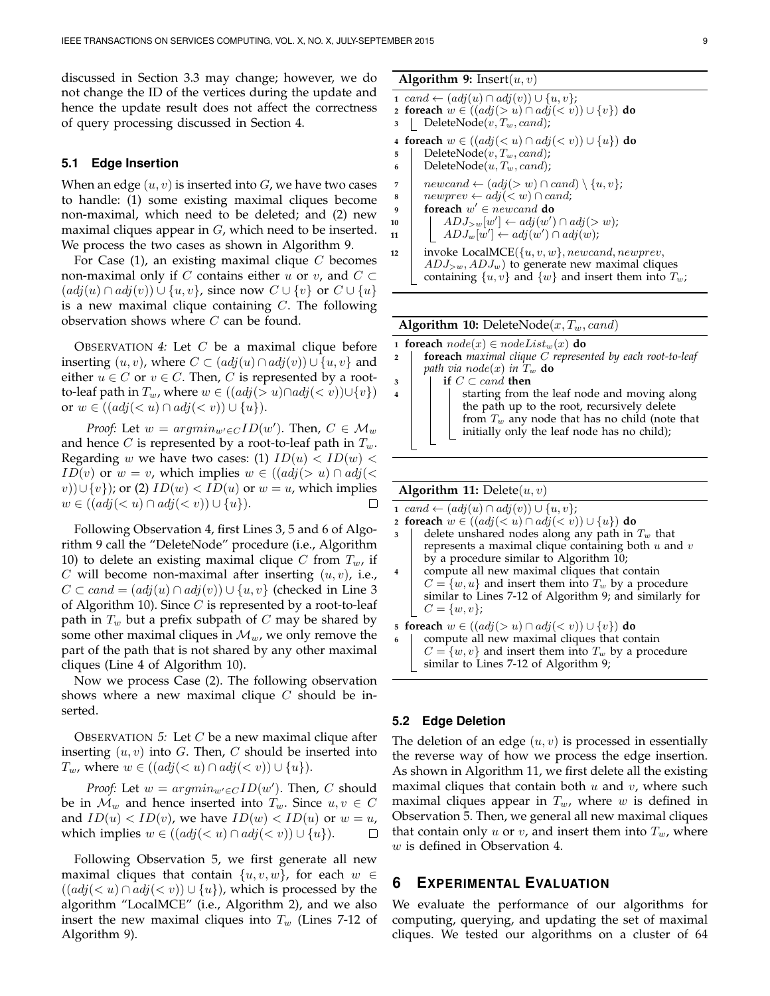discussed in Section 3.3 may change; however, we do not change the ID of the vertices during the update and hence the update result does not affect the correctness of query processing discussed in Section 4.

#### **5.1 Edge Insertion**

When an edge (*u, v*) is inserted into *G*, we have two cases to handle: (1) some existing maximal cliques become non-maximal, which need to be deleted; and (2) new maximal cliques appear in *G*, which need to be inserted. We process the two cases as shown in Algorithm 9.

For Case (1), an existing maximal clique *C* becomes non-maximal only if *C* contains either *u* or *v*, and *C ⊂*  $\{adj(u) \cap adj(v)\}\cup \{u, v\}$ , since now  $C \cup \{v\}$  or  $C \cup \{u\}$ is a new maximal clique containing *C*. The following observation shows where *C* can be found.

OBSERVATION *4:* Let *C* be a maximal clique before inserting (*u, v*), where *C ⊂* (*adj*(*u*) *∩ adj*(*v*)) *∪ {u, v}* and either  $u \in C$  or  $v \in C$ . Then, *C* is represented by a rootto-leaf path in  $T_w$ , where  $w \in ((adj(z u) ∩ adj(z v)) ∪ \{v\})$ **or**  $w \in ((adj(*u*) ∩ adj(*v*)) ∪ {*u*}).$ 

*Proof:* Let  $w = argmin_{w' \in C} ID(w')$ . Then,  $C \in \mathcal{M}_w$ and hence *C* is represented by a root-to-leaf path in *Tw*. Regarding *w* we have two cases: (1)  $ID(u) < ID(w)$ *ID*(*v*) or  $w = v$ , which implies  $w \in ((adj(> u) \cap adj($ *v*))*∪{v}*); or (2) *ID*(*w*) *< ID*(*u*) or *w* = *u*, which implies *w* ∈ ((*adj*( $\lt u$ ) ∩ *adj*( $\lt v$ )) *∪* {*u*}).  $\Box$ 

Following Observation 4, first Lines 3, 5 and 6 of Algorithm 9 call the "DeleteNode" procedure (i.e., Algorithm 10) to delete an existing maximal clique *C* from *Tw*, if *C* will become non-maximal after inserting (*u, v*), i.e., *C* ⊂ *cand* =  $adj(u) \cap adj(v)$  *∪*  $\{u, v\}$  (checked in Line 3 of Algorithm 10). Since *C* is represented by a root-to-leaf path in *T<sup>w</sup>* but a prefix subpath of *C* may be shared by some other maximal cliques in  $\mathcal{M}_w$ , we only remove the part of the path that is not shared by any other maximal cliques (Line 4 of Algorithm 10).

Now we process Case (2). The following observation shows where a new maximal clique *C* should be inserted.

OBSERVATION *5:* Let *C* be a new maximal clique after inserting (*u, v*) into *G*. Then, *C* should be inserted into *T*<sup>*w*</sup>, where *w* ∈ ((*adj*(*< u*) ∩ *adj*(*< v*)) *∪* {*u*}).

*Proof:* Let  $w = argmin_{w' \in C} ID(w')$ . Then, *C* should be in  $\mathcal{M}_w$  and hence inserted into  $T_w$ . Since  $u, v \in C$ and  $ID(u) < ID(v)$ , we have  $ID(w) < ID(u)$  or  $w = u$ , which implies  $w \in ((adj(*u*) \cap adj(*v*)) \cup \{u\}).$  $\Box$ 

Following Observation 5, we first generate all new maximal cliques that contain  $\{u, v, w\}$ , for each  $w \in$  $((adj(*u*) ∩ adj(*v*)) ∪ {*u*}), which is processed by the$ algorithm "LocalMCE" (i.e., Algorithm 2), and we also insert the new maximal cliques into  $T_w$  (Lines 7-12 of Algorithm 9).

#### **Algorithm 9:** Insert(*u, v*)

 *cand ←* (*adj*(*u*) *∩ adj*(*v*)) *∪ {u, v}*; **foreach** *w ∈* ((*adj*(*> u*) *∩ adj*(*< v*)) *∪ {v}*) **do** DeleteNode(*v, Tw, cand*); **foreach** *w ∈* ((*adj*(*< u*) *∩ adj*(*< v*)) *∪ {u}*) **do** DeleteNode(*v, Tw, cand*); 6 DeleteNode $(u, T_w, cand)$ ; *newcand ←* (*adj*(*> w*) *∩ cand*) *\ {u, v}*;  $\vert$  *newprev*  $\leftarrow adj(*w*) \cap cand;$  **foreach** *w ′ ∈ newcand* **do**  $\vert$   $ADJ_{>w}[w'] \leftarrow adj(w') \cap adj(>w);$  **d**  $1$   $ADJ_w[w'] \leftarrow adj(w') \cap adj(w);$  invoke LocalMCE(*{u, v, w}, newcand, newprev,*  $ADJ_{\geq w}$ ,  $ADJ_w$ ) to generate new maximal cliques containing  $\{u, v\}$  and  $\{w\}$  and insert them into  $T_w$ ;

|  |  | <b>Algorithm 10:</b> DeleteNode( $x, T_w, cand$ ) |  |  |
|--|--|---------------------------------------------------|--|--|
|--|--|---------------------------------------------------|--|--|

|                | 1 foreach $node(x) \in nodeList_w(x)$ do                  |
|----------------|-----------------------------------------------------------|
| $\overline{2}$ | foreach maximal clique C represented by each root-to-leaf |
|                | path via $node(x)$ in $T_w$ do                            |
| 3              | if $C \subset \text{cand}$ then                           |
| $\overline{4}$ | starting from the leaf node and moving along              |
|                | the path up to the root, recursively delete               |
|                | from $T_w$ any node that has no child (note that          |
|                | initially only the leaf node has no child);               |
|                |                                                           |
|                |                                                           |

```
Algorithm 11: Delete(u, v)
```
**<sup>1</sup>** *cand ←* (*adj*(*u*) *∩ adj*(*v*)) *∪ {u, v}*; **<sup>2</sup> foreach** *w ∈* ((*adj*(*< u*) *∩ adj*(*< v*)) *∪ {u}*) **do <sup>3</sup>** delete unshared nodes along any path in *T<sup>w</sup>* that represents a maximal clique containing both *u* and *v* by a procedure similar to Algorithm 10; **<sup>4</sup>** compute all new maximal cliques that contain  $C = \{w, u\}$  and insert them into  $T_w$  by a procedure similar to Lines 7-12 of Algorithm 9; and similarly for  $C = \{w, v\}$ ; **<sup>5</sup> foreach** *w ∈* ((*adj*(*> u*) *∩ adj*(*< v*)) *∪ {v}*) **do <sup>6</sup>** compute all new maximal cliques that contain  $C = \{w, v\}$  and insert them into  $T_w$  by a procedure

similar to Lines 7-12 of Algorithm 9;

#### **5.2 Edge Deletion**

The deletion of an edge (*u, v*) is processed in essentially the reverse way of how we process the edge insertion. As shown in Algorithm 11, we first delete all the existing maximal cliques that contain both *u* and *v*, where such maximal cliques appear in *Tw*, where *w* is defined in Observation 5. Then, we general all new maximal cliques that contain only *u* or *v*, and insert them into *Tw*, where *w* is defined in Observation 4.

## **6 EXPERIMENTAL EVALUATION**

We evaluate the performance of our algorithms for computing, querying, and updating the set of maximal cliques. We tested our algorithms on a cluster of 64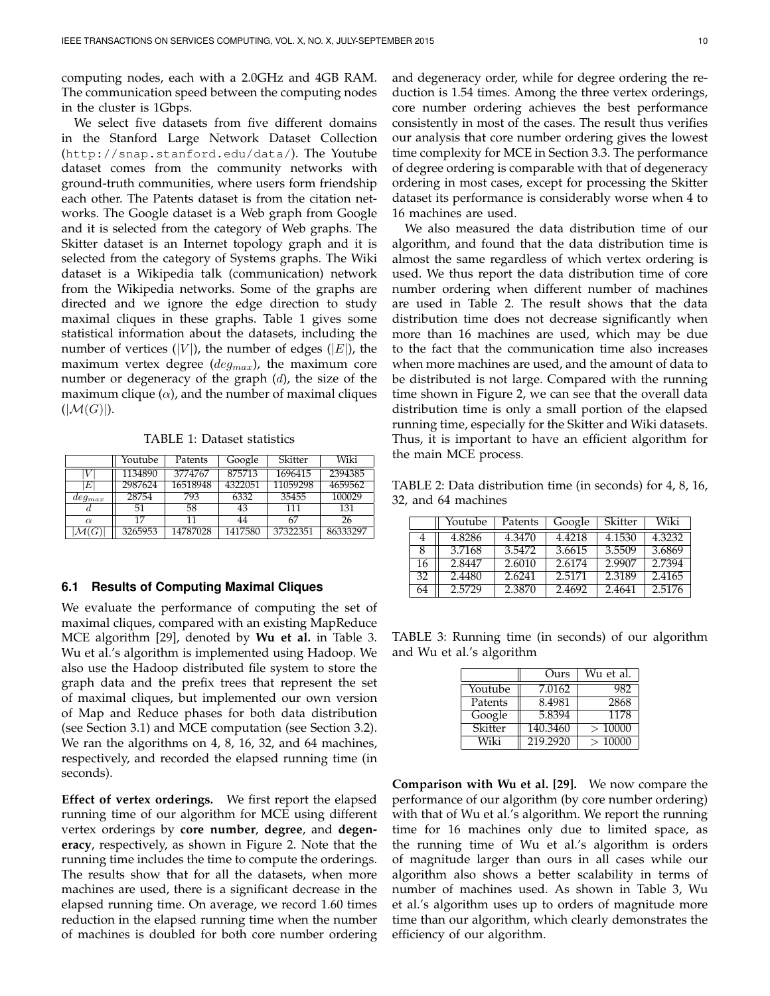computing nodes, each with a 2.0GHz and 4GB RAM. The communication speed between the computing nodes in the cluster is 1Gbps.

We select five datasets from five different domains in the Stanford Large Network Dataset Collection (http://snap.stanford.edu/data/). The Youtube dataset comes from the community networks with ground-truth communities, where users form friendship each other. The Patents dataset is from the citation networks. The Google dataset is a Web graph from Google and it is selected from the category of Web graphs. The Skitter dataset is an Internet topology graph and it is selected from the category of Systems graphs. The Wiki dataset is a Wikipedia talk (communication) network from the Wikipedia networks. Some of the graphs are directed and we ignore the edge direction to study maximal cliques in these graphs. Table 1 gives some statistical information about the datasets, including the number of vertices  $(|V|)$ , the number of edges  $(|E|)$ , the maximum vertex degree (*degmax*), the maximum core number or degeneracy of the graph (*d*), the size of the maximum clique  $(\alpha)$ , and the number of maximal cliques  $(|\mathcal{M}(G)|).$ 

TABLE 1: Dataset statistics

|             | Youtube | Patents  | Google  | Skitter  | Wiki     |
|-------------|---------|----------|---------|----------|----------|
|             | 1134890 | 3774767  | 875713  | 1696415  | 2394385  |
| E           | 2987624 | 16518948 | 4322051 | 11059298 | 4659562  |
| $deg_{max}$ | 28754   | 793      | 6332    | 35455    | 100029   |
|             | 51      | 58       | 43      | 111      | 131      |
| $\alpha$    | 17      | 11       | 44      | 67       | 26       |
|             | 3265953 | 14787028 | 1417580 | 37322351 | 86333297 |

#### **6.1 Results of Computing Maximal Cliques**

We evaluate the performance of computing the set of maximal cliques, compared with an existing MapReduce MCE algorithm [29], denoted by **Wu et al.** in Table 3. Wu et al.'s algorithm is implemented using Hadoop. We also use the Hadoop distributed file system to store the graph data and the prefix trees that represent the set of maximal cliques, but implemented our own version of Map and Reduce phases for both data distribution (see Section 3.1) and MCE computation (see Section 3.2). We ran the algorithms on 4, 8, 16, 32, and 64 machines, respectively, and recorded the elapsed running time (in seconds).

**Effect of vertex orderings.** We first report the elapsed running time of our algorithm for MCE using different vertex orderings by **core number**, **degree**, and **degeneracy**, respectively, as shown in Figure 2. Note that the running time includes the time to compute the orderings. The results show that for all the datasets, when more machines are used, there is a significant decrease in the elapsed running time. On average, we record 1.60 times reduction in the elapsed running time when the number of machines is doubled for both core number ordering and degeneracy order, while for degree ordering the reduction is 1.54 times. Among the three vertex orderings, core number ordering achieves the best performance consistently in most of the cases. The result thus verifies our analysis that core number ordering gives the lowest time complexity for MCE in Section 3.3. The performance of degree ordering is comparable with that of degeneracy ordering in most cases, except for processing the Skitter dataset its performance is considerably worse when 4 to 16 machines are used.

We also measured the data distribution time of our algorithm, and found that the data distribution time is almost the same regardless of which vertex ordering is used. We thus report the data distribution time of core number ordering when different number of machines are used in Table 2. The result shows that the data distribution time does not decrease significantly when more than 16 machines are used, which may be due to the fact that the communication time also increases when more machines are used, and the amount of data to be distributed is not large. Compared with the running time shown in Figure 2, we can see that the overall data distribution time is only a small portion of the elapsed running time, especially for the Skitter and Wiki datasets. Thus, it is important to have an efficient algorithm for the main MCE process.

TABLE 2: Data distribution time (in seconds) for 4, 8, 16, 32, and 64 machines

|    | Youtube | Patents | Google | Skitter | Wiki   |
|----|---------|---------|--------|---------|--------|
| 4  | 4.8286  | 4.3470  | 4.4218 | 4.1530  | 4.3232 |
| 8  | 3.7168  | 3.5472  | 3.6615 | 3.5509  | 3.6869 |
| 16 | 2.8447  | 2.6010  | 2.6174 | 2.9907  | 2.7394 |
| 32 | 2.4480  | 2.6241  | 2.5171 | 2.3189  | 2.4165 |
| 64 | 2.5729  | 2.3870  | 2.4692 | 2.4641  | 2.5176 |

TABLE 3: Running time (in seconds) of our algorithm and Wu et al.'s algorithm

|         | Ours     | Wu et al. |
|---------|----------|-----------|
| Youtube | 7.0162   | 982       |
| Patents | 8.4981   | 2868      |
| Google  | 5.8394   | 1178      |
| Skitter | 140.3460 | >10000    |
| Wiki    | 219,2920 | >10000    |

**Comparison with Wu et al. [29].** We now compare the performance of our algorithm (by core number ordering) with that of Wu et al.'s algorithm. We report the running time for 16 machines only due to limited space, as the running time of Wu et al.'s algorithm is orders of magnitude larger than ours in all cases while our algorithm also shows a better scalability in terms of number of machines used. As shown in Table 3, Wu et al.'s algorithm uses up to orders of magnitude more time than our algorithm, which clearly demonstrates the efficiency of our algorithm.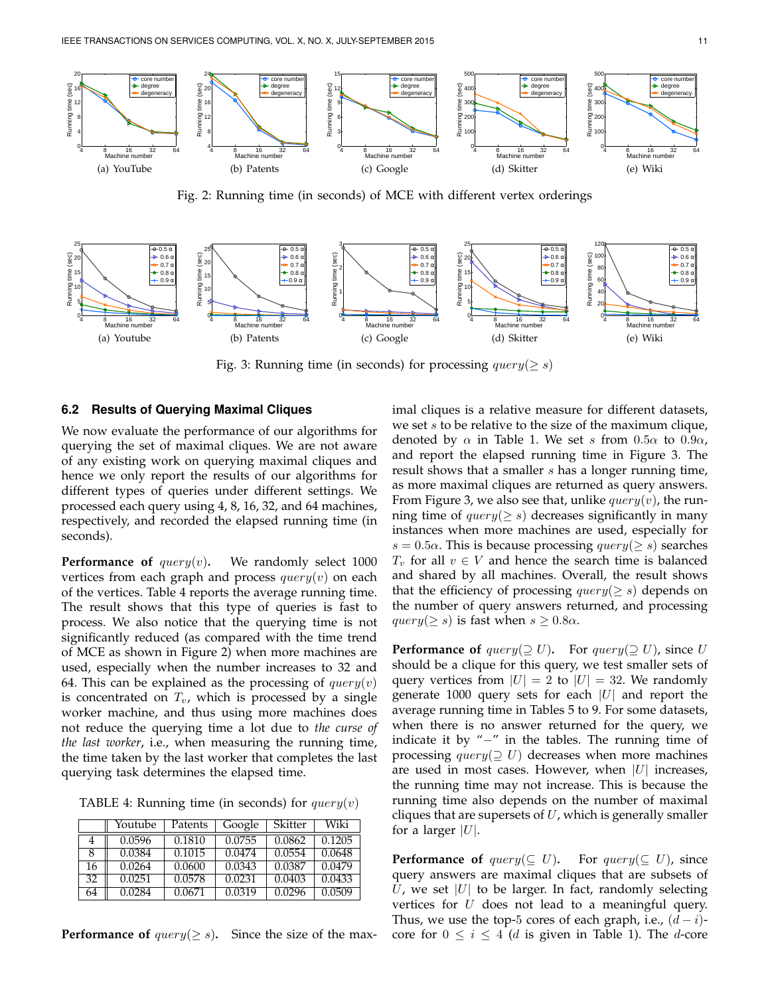

Fig. 2: Running time (in seconds) of MCE with different vertex orderings



Fig. 3: Running time (in seconds) for processing  $query(\geq s)$ 

# **6.2 Results of Querying Maximal Cliques**

We now evaluate the performance of our algorithms for querying the set of maximal cliques. We are not aware of any existing work on querying maximal cliques and hence we only report the results of our algorithms for different types of queries under different settings. We processed each query using 4, 8, 16, 32, and 64 machines, respectively, and recorded the elapsed running time (in seconds).

**Performance of**  $query(v)$ . We randomly select 1000 vertices from each graph and process *query*(*v*) on each of the vertices. Table 4 reports the average running time. The result shows that this type of queries is fast to process. We also notice that the querying time is not significantly reduced (as compared with the time trend of MCE as shown in Figure 2) when more machines are used, especially when the number increases to 32 and 64. This can be explained as the processing of  $query(v)$ is concentrated on  $T_v$ , which is processed by a single worker machine, and thus using more machines does not reduce the querying time a lot due to *the curse of the last worker*, i.e., when measuring the running time, the time taken by the last worker that completes the last querying task determines the elapsed time.

TABLE 4: Running time (in seconds) for *query*(*v*)

|     | Youtube | Patents | Google | Skitter | Wiki   |
|-----|---------|---------|--------|---------|--------|
|     | 0.0596  | 0.1810  | 0.0755 | 0.0862  | 0.1205 |
| 8   | 0.0384  | 0.1015  | 0.0474 | 0.0554  | 0.0648 |
| 16  | 0.0264  | 0.0600  | 0.0343 | 0.0387  | 0.0479 |
| -32 | 0.0251  | 0.0578  | 0.0231 | 0.0403  | 0.0433 |
| 64  | 0.0284  | 0.0671  | 0.0319 | 0.0296  | 0.0509 |

**Performance of**  $query(\geq s)$ . Since the size of the max-

imal cliques is a relative measure for different datasets, we set *s* to be relative to the size of the maximum clique, denoted by  $\alpha$  in Table 1. We set *s* from 0.5 $\alpha$  to 0.9 $\alpha$ , and report the elapsed running time in Figure 3. The result shows that a smaller *s* has a longer running time, as more maximal cliques are returned as query answers. From Figure 3, we also see that, unlike *query*(*v*), the running time of  $query(\geq s)$  decreases significantly in many instances when more machines are used, especially for *s* = 0*.*5*α*. This is because processing *query*(*≥ s*) searches *T*<sup>*v*</sup> for all *v*  $∈$  *V* and hence the search time is balanced and shared by all machines. Overall, the result shows that the efficiency of processing  $query(\geq s)$  depends on the number of query answers returned, and processing *guery*( $\geq$  *s*) is fast when  $s \geq 0.8\alpha$ .

**Performance of**  $query(\supseteq U)$ . For  $query(\supseteq U)$ , since *U* should be a clique for this query, we test smaller sets of query vertices from  $|U| = 2$  to  $|U| = 32$ . We randomly generate 1000 query sets for each *|U|* and report the average running time in Tables 5 to 9. For some datasets, when there is no answer returned for the query, we indicate it by "*−*" in the tables. The running time of processing  $query(\supseteq U)$  decreases when more machines are used in most cases. However, when *|U|* increases, the running time may not increase. This is because the running time also depends on the number of maximal cliques that are supersets of *U*, which is generally smaller for a larger *|U|*.

**Performance of**  $query(\subseteq U)$ . For  $query(\subseteq U)$ , since query answers are maximal cliques that are subsets of *U*, we set *|U|* to be larger. In fact, randomly selecting vertices for *U* does not lead to a meaningful query. Thus, we use the top-5 cores of each graph, i.e.,  $(d - i)$ core for  $0 \le i \le 4$  (*d* is given in Table 1). The *d*-core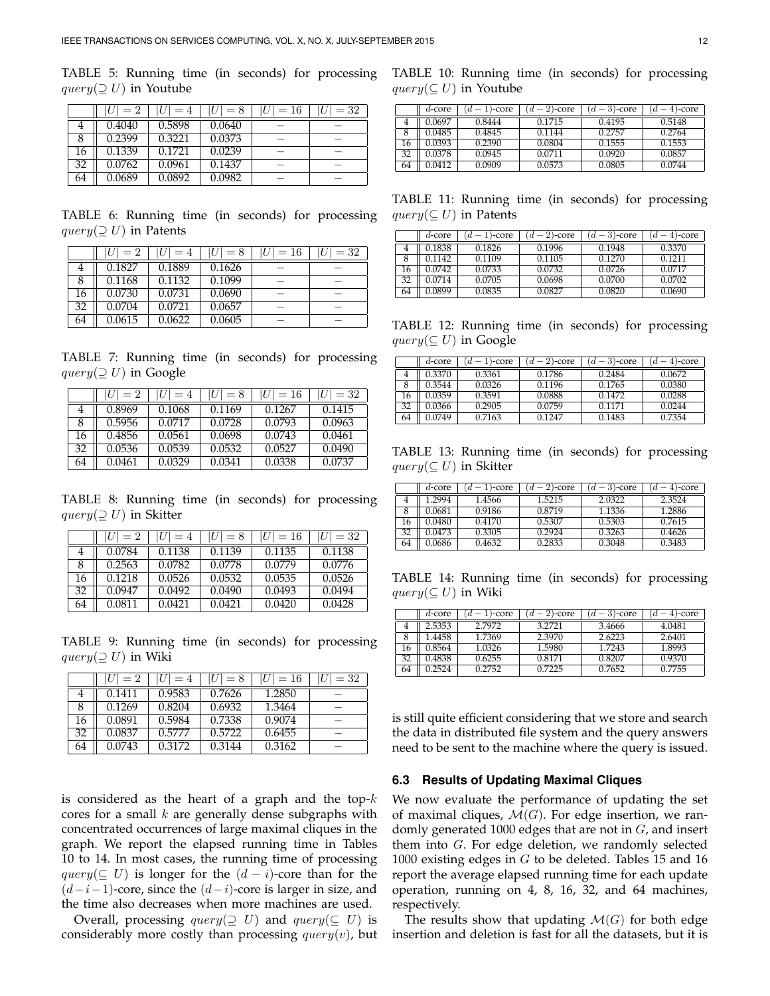TABLE 5: Running time (in seconds) for processing  $query(2 U)$  in Youtube

|    | U  <br>$=2$ | W<br>$=4$ | $ U =8$ | ΙUΙ<br>$=16$ | $=32$ |
|----|-------------|-----------|---------|--------------|-------|
|    | 0.4040      | 0.5898    | 0.0640  |              |       |
| 8  | 0.2399      | 0.3221    | 0.0373  |              |       |
| 16 | 0.1339      | 0.1721    | 0.0239  | -            | -     |
| 32 | 0.0762      | 0.0961    | 0.1437  |              |       |
| 64 | 0.0689      | 0.0892    | 0.0982  |              |       |

TABLE 6: Running time (in seconds) for processing  $query(2 U)$  in Patents

|    | $=2$   | ΙUΙ<br>$=4$ | $= 8$  | $=16$ | $=32$ |
|----|--------|-------------|--------|-------|-------|
|    | 0.1827 | 0.1889      | 0.1626 |       | -     |
|    | 0.1168 | 0.1132      | 0.1099 |       | -     |
| 16 | 0.0730 | 0.0731      | 0.0690 |       | -     |
| 32 | 0.0704 | 0.0721      | 0.0657 |       |       |
| 64 | 0.0615 | 0.0622      | 0.0605 |       |       |

TABLE 7: Running time (in seconds) for processing *query*( $\supseteq U$ ) in Google

|    | $=2$   | $=4$   | $= 8$  | $=16$  | $=32$  |
|----|--------|--------|--------|--------|--------|
| 4  | 0.8969 | 0.1068 | 0.1169 | 0.1267 | 0.1415 |
| 8  | 0.5956 | 0.0717 | 0.0728 | 0.0793 | 0.0963 |
| 16 | 0.4856 | 0.0561 | 0.0698 | 0.0743 | 0.0461 |
| 32 | 0.0536 | 0.0539 | 0.0532 | 0.0527 | 0.0490 |
| 64 | 0.0461 | 0.0329 | 0.0341 | 0.0338 | 0.0737 |

TABLE 8: Running time (in seconds) for processing *query*( $\supseteq U$ ) in Skitter

|    | $=2$   | $U = 4$ | $= 8$  | $=16$  | $=32$  |
|----|--------|---------|--------|--------|--------|
| 4  | 0.0784 | 0.1138  | 0.1139 | 0.1135 | 0.1138 |
| 8  | 0.2563 | 0.0782  | 0.0778 | 0.0779 | 0.0776 |
| 16 | 0.1218 | 0.0526  | 0.0532 | 0.0535 | 0.0526 |
| 32 | 0.0947 | 0.0492  | 0.0490 | 0.0493 | 0.0494 |
| 64 | 0.0811 | 0.0421  | 0.0421 | 0.0420 | 0.0428 |

TABLE 9: Running time (in seconds) for processing  $query(2 U)$  in Wiki

|    | $=2$<br> U | $ U =4$ | $ U  = 8$ | ΙUΙ<br>$=16$        | $=32$ |
|----|------------|---------|-----------|---------------------|-------|
|    | 0.1411     | 0.9583  | 0.7626    | 1.2850              |       |
|    | 0.1269     | 0.8204  | 0.6932    | $1.346\overline{4}$ |       |
| 16 | 0.0891     | 0.5984  | 0.7338    | 0.9074              |       |
| 32 | 0.0837     | 0.5777  | 0.5722    | 0.6455              |       |
| 64 | 0.0743     | 0.3172  | 0.3144    | 0.3162              |       |

is considered as the heart of a graph and the top-*k* cores for a small *k* are generally dense subgraphs with concentrated occurrences of large maximal cliques in the graph. We report the elapsed running time in Tables 10 to 14. In most cases, the running time of processing *query*( $\subseteq U$ ) is longer for the  $(d − i)$ -core than for the (*d−i−*1)-core, since the (*d−i*)-core is larger in size, and the time also decreases when more machines are used.

Overall, processing *query*( $\supseteq U$ ) and *query*( $\subseteq U$ ) is considerably more costly than processing *query*(*v*), but

TABLE 10: Running time (in seconds) for processing  $query(\subseteq U)$  in Youtube

|    | $d$ -core | 1)-core | $2$ -core | $-3$ -core | 4)-core |
|----|-----------|---------|-----------|------------|---------|
|    | 0.0697    | 0.8444  | 0.1715    | 0.4195     | 0.5148  |
| 8  | 0.0485    | 0.4845  | 0.1144    | 0.2757     | 0.2764  |
| 16 | 0.0393    | 0.2390  | 0.0804    | 0.1555     | 0.1553  |
| 32 | 0.0378    | 0.0945  | 0.0711    | 0.0920     | 0.0857  |
| 64 |           | 0.0909  | 0.0573    | 0.0805     | 0.0744  |

TABLE 11: Running time (in seconds) for processing  $query(\subseteq U)$  in Patents

|    | $d$ -core | $d-1)$ -core | $(d-2)$ -core | $(d-3)$ -core | $d-4$ -core |
|----|-----------|--------------|---------------|---------------|-------------|
|    | 0.1838    | 0.1826       | 0.1996        | 0.1948        | 0.3370      |
|    | 0.1142    | 0.1109       | 0.1105        | 0.1270        | 0.1211      |
| 16 | 0.0742    | 0.0733       | 0.0732        | 0.0726        | 0.0717      |
| 32 | 0.0714    | 0.0705       | 0.0698        | 0.0700        | 0.0702      |
| 64 | 0.0899    | 0.0835       | 0.0827        | 0.0820        | 0.0690      |

TABLE 12: Running time (in seconds) for processing  $query(\subseteq U)$  in Google

|    | d-core | 1)-core | $2$ )-core | $-3)$ -core | 4)-core |
|----|--------|---------|------------|-------------|---------|
|    | 0.3370 | 0.3361  | 0.1786     | 0.2484      | 0.0672  |
| 8  | 0.3544 | 0.0326  | 0.1196     | 0.1765      | 0.0380  |
| 16 | 0.0359 | 0.3591  | 0.0888     | 0.1472      | 0.0288  |
| 32 | 0.0366 | 0.2905  | 0.0759     | 0.1171      | 0.0244  |
| 64 | 0.0749 | 0.7163  | 0.1247     | 0.1483      | 0.7354  |

TABLE 13: Running time (in seconds) for processing  $query(\subseteq U)$  in Skitter

|    | $d$ -core | $-1$ -core<br>d | $(d-2)$ -core | $(d-3)$ -core | 4)-core |
|----|-----------|-----------------|---------------|---------------|---------|
|    | .2994     | 1.4566          | 1.5215        | 2.0322        | 2.3524  |
| 8  | 0.0681    | 0.9186          | 0.8719        | 1.1336        | 1.2886  |
| 16 | 0.0480    | 0.4170          | 0.5307        | 0.5303        | 0.7615  |
| 32 | 0.0473    | 0.3305          | 0.2924        | 0.3263        | 0.4626  |
| 64 | 0.0686    | 0.4632          | 0.2833        | 0.3048        | 0.3483  |

TABLE 14: Running time (in seconds) for processing  $query(\subseteq U)$  in Wiki

|    | $d$ -core | $1)$ -core | $\sim$ 2)-core | $-3$ )-core | 4)-core |
|----|-----------|------------|----------------|-------------|---------|
|    | 2.5353    | 2.7972     | 3.2721         | 3.4666      | 4.0481  |
|    | .4458     | 1.7369     | 2.3970         | 2.6223      | 2.6401  |
| 16 | 0.8564    | 1.0326     | 1.5980         | 1.7243      | 1.8993  |
| 32 | 0.4838    | 0.6255     | 0.8171         | 0.8207      | 0.9370  |
| 64 | 0.2524    | 0.2752     | 0.7225         | 0.7652      | 0.7755  |

is still quite efficient considering that we store and search the data in distributed file system and the query answers need to be sent to the machine where the query is issued.

#### **6.3 Results of Updating Maximal Cliques**

We now evaluate the performance of updating the set of maximal cliques,  $\mathcal{M}(G)$ . For edge insertion, we randomly generated 1000 edges that are not in *G*, and insert them into *G*. For edge deletion, we randomly selected 1000 existing edges in *G* to be deleted. Tables 15 and 16 report the average elapsed running time for each update operation, running on 4, 8, 16, 32, and 64 machines, respectively.

The results show that updating  $\mathcal{M}(G)$  for both edge insertion and deletion is fast for all the datasets, but it is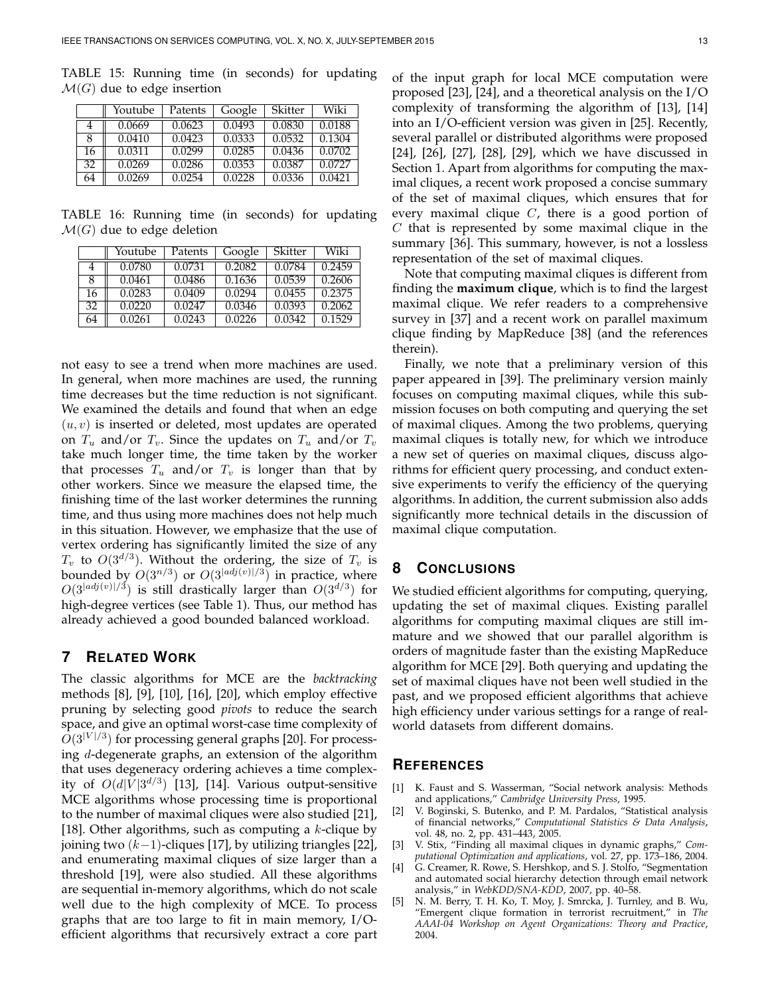TABLE 15: Running time (in seconds) for updating  $\mathcal{M}(G)$  due to edge insertion

|    | Youtube | Patents | Google | Skitter | Wiki   |
|----|---------|---------|--------|---------|--------|
|    | 0.0669  | 0.0623  | 0.0493 | 0.0830  | 0.0188 |
|    | 0.0410  | 0.0423  | 0.0333 | 0.0532  | 0.1304 |
| 16 | 0.0311  | 0.0299  | 0.0285 | 0.0436  | 0.0702 |
| 32 | 0.0269  | 0.0286  | 0.0353 | 0.0387  | 0.0727 |
| 64 | 0.0269  | 0.0254  | 0.0228 | 0.0336  | 0.0421 |

TABLE 16: Running time (in seconds) for updating  $M(G)$  due to edge deletion

|    | Youtube | Patents | Google | Skitter | Wiki   |
|----|---------|---------|--------|---------|--------|
| 4  | 0.0780  | 0.0731  | 0.2082 | 0.0784  | 0.2459 |
| 8  | 0.0461  | 0.0486  | 0.1636 | 0.0539  | 0.2606 |
| 16 | 0.0283  | 0.0409  | 0.0294 | 0.0455  | 0.2375 |
| 32 | 0.0220  | 0.0247  | 0.0346 | 0.0393  | 0.2062 |
| 64 | 0.0261  | 0.0243  | 0.0226 | 0.0342  | 0.1529 |

not easy to see a trend when more machines are used. In general, when more machines are used, the running time decreases but the time reduction is not significant. We examined the details and found that when an edge  $(u, v)$  is inserted or deleted, most updates are operated on  $T_u$  and/or  $T_v$ . Since the updates on  $T_u$  and/or  $T_v$ take much longer time, the time taken by the worker that processes  $T_u$  and/or  $T_v$  is longer than that by other workers. Since we measure the elapsed time, the finishing time of the last worker determines the running time, and thus using more machines does not help much in this situation. However, we emphasize that the use of vertex ordering has significantly limited the size of any  $T_v$  to  $O(3^{d/3})$ . Without the ordering, the size of  $T_v$  is bounded by  $O(3^{n/3})$  or  $O(3^{|adj(v)|/3})$  in practice, where  $O(3^{|adj(v)|/3})$  is still drastically larger than  $O(3^{d/3})$  for high-degree vertices (see Table 1). Thus, our method has already achieved a good bounded balanced workload.

# **7 RELATED WORK**

The classic algorithms for MCE are the *backtracking* methods [8], [9], [10], [16], [20], which employ effective pruning by selecting good *pivots* to reduce the search space, and give an optimal worst-case time complexity of  $O(3^{|V|/3})$  for processing general graphs [20]. For processing *d*-degenerate graphs, an extension of the algorithm that uses degeneracy ordering achieves a time complexity of  $O(d|V|3^{d/3})$  [13], [14]. Various output-sensitive MCE algorithms whose processing time is proportional to the number of maximal cliques were also studied [21], [18]. Other algorithms, such as computing a *k*-clique by joining two (*k−*1)-cliques [17], by utilizing triangles [22], and enumerating maximal cliques of size larger than a threshold [19], were also studied. All these algorithms are sequential in-memory algorithms, which do not scale well due to the high complexity of MCE. To process graphs that are too large to fit in main memory, I/Oefficient algorithms that recursively extract a core part

of the input graph for local MCE computation were proposed [23], [24], and a theoretical analysis on the I/O complexity of transforming the algorithm of [13], [14] into an I/O-efficient version was given in [25]. Recently, several parallel or distributed algorithms were proposed [24], [26], [27], [28], [29], which we have discussed in Section 1. Apart from algorithms for computing the maximal cliques, a recent work proposed a concise summary of the set of maximal cliques, which ensures that for every maximal clique *C*, there is a good portion of *C* that is represented by some maximal clique in the summary [36]. This summary, however, is not a lossless representation of the set of maximal cliques.

Note that computing maximal cliques is different from finding the **maximum clique**, which is to find the largest maximal clique. We refer readers to a comprehensive survey in [37] and a recent work on parallel maximum clique finding by MapReduce [38] (and the references therein).

Finally, we note that a preliminary version of this paper appeared in [39]. The preliminary version mainly focuses on computing maximal cliques, while this submission focuses on both computing and querying the set of maximal cliques. Among the two problems, querying maximal cliques is totally new, for which we introduce a new set of queries on maximal cliques, discuss algorithms for efficient query processing, and conduct extensive experiments to verify the efficiency of the querying algorithms. In addition, the current submission also adds significantly more technical details in the discussion of maximal clique computation.

## **8 CONCLUSIONS**

We studied efficient algorithms for computing, querying, updating the set of maximal cliques. Existing parallel algorithms for computing maximal cliques are still immature and we showed that our parallel algorithm is orders of magnitude faster than the existing MapReduce algorithm for MCE [29]. Both querying and updating the set of maximal cliques have not been well studied in the past, and we proposed efficient algorithms that achieve high efficiency under various settings for a range of realworld datasets from different domains.

# **REFERENCES**

- [1] K. Faust and S. Wasserman, "Social network analysis: Methods and applications," *Cambridge University Press*, 1995.
- [2] V. Boginski, S. Butenko, and P. M. Pardalos, "Statistical analysis of financial networks," *Computational Statistics & Data Analysis*, vol. 48, no. 2, pp. 431–443, 2005.
- [3] V. Stix, "Finding all maximal cliques in dynamic graphs," *Computational Optimization and applications*, vol. 27, pp. 173–186, 2004.
- [4] G. Creamer, R. Rowe, S. Hershkop, and S. J. Stolfo, "Segmentation and automated social hierarchy detection through email network analysis," in *WebKDD/SNA-KDD*, 2007, pp. 40–58.
- [5] N. M. Berry, T. H. Ko, T. Moy, J. Smrcka, J. Turnley, and B. Wu, "Emergent clique formation in terrorist recruitment," in *The AAAI-04 Workshop on Agent Organizations: Theory and Practice*, 2004.